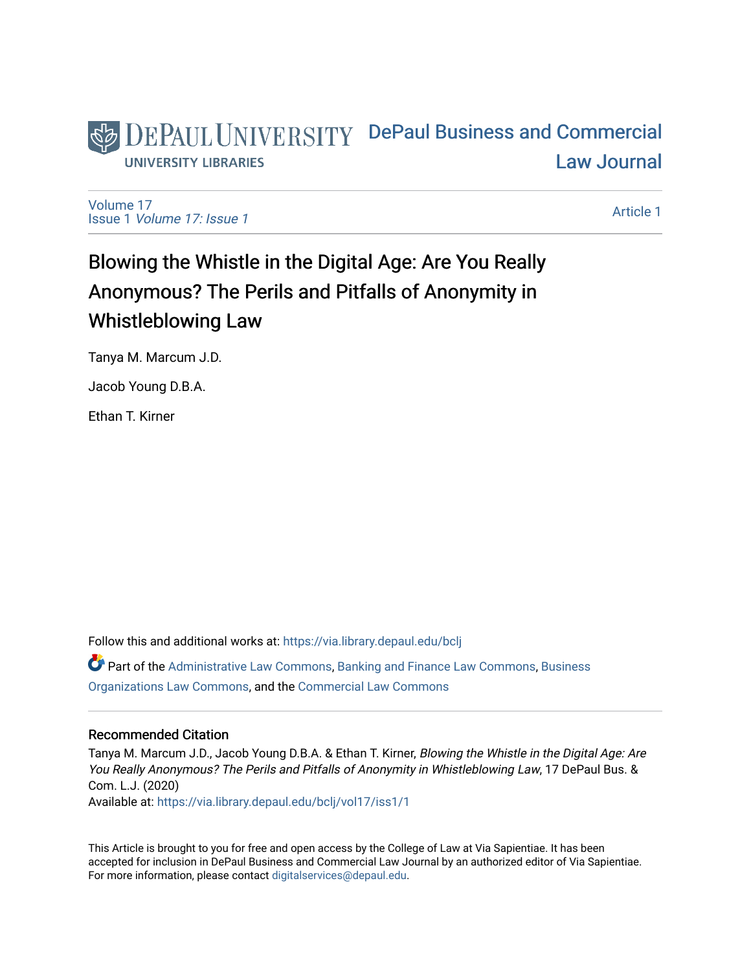

[Volume 17](https://via.library.depaul.edu/bclj/vol17) Issue 1 [Volume 17: Issue 1](https://via.library.depaul.edu/bclj/vol17/iss1) 

[Article 1](https://via.library.depaul.edu/bclj/vol17/iss1/1) 

# Blowing the Whistle in the Digital Age: Are You Really Anonymous? The Perils and Pitfalls of Anonymity in Whistleblowing Law

Tanya M. Marcum J.D.

Jacob Young D.B.A.

Ethan T. Kirner

Follow this and additional works at: [https://via.library.depaul.edu/bclj](https://via.library.depaul.edu/bclj?utm_source=via.library.depaul.edu%2Fbclj%2Fvol17%2Fiss1%2F1&utm_medium=PDF&utm_campaign=PDFCoverPages)  Part of the [Administrative Law Commons,](http://network.bepress.com/hgg/discipline/579?utm_source=via.library.depaul.edu%2Fbclj%2Fvol17%2Fiss1%2F1&utm_medium=PDF&utm_campaign=PDFCoverPages) [Banking and Finance Law Commons,](http://network.bepress.com/hgg/discipline/833?utm_source=via.library.depaul.edu%2Fbclj%2Fvol17%2Fiss1%2F1&utm_medium=PDF&utm_campaign=PDFCoverPages) [Business](http://network.bepress.com/hgg/discipline/900?utm_source=via.library.depaul.edu%2Fbclj%2Fvol17%2Fiss1%2F1&utm_medium=PDF&utm_campaign=PDFCoverPages)  [Organizations Law Commons](http://network.bepress.com/hgg/discipline/900?utm_source=via.library.depaul.edu%2Fbclj%2Fvol17%2Fiss1%2F1&utm_medium=PDF&utm_campaign=PDFCoverPages), and the [Commercial Law Commons](http://network.bepress.com/hgg/discipline/586?utm_source=via.library.depaul.edu%2Fbclj%2Fvol17%2Fiss1%2F1&utm_medium=PDF&utm_campaign=PDFCoverPages)

# Recommended Citation

Tanya M. Marcum J.D., Jacob Young D.B.A. & Ethan T. Kirner, Blowing the Whistle in the Digital Age: Are You Really Anonymous? The Perils and Pitfalls of Anonymity in Whistleblowing Law, 17 DePaul Bus. & Com. L.J. (2020)

Available at: [https://via.library.depaul.edu/bclj/vol17/iss1/1](https://via.library.depaul.edu/bclj/vol17/iss1/1?utm_source=via.library.depaul.edu%2Fbclj%2Fvol17%2Fiss1%2F1&utm_medium=PDF&utm_campaign=PDFCoverPages) 

This Article is brought to you for free and open access by the College of Law at Via Sapientiae. It has been accepted for inclusion in DePaul Business and Commercial Law Journal by an authorized editor of Via Sapientiae. For more information, please contact [digitalservices@depaul.edu.](mailto:digitalservices@depaul.edu)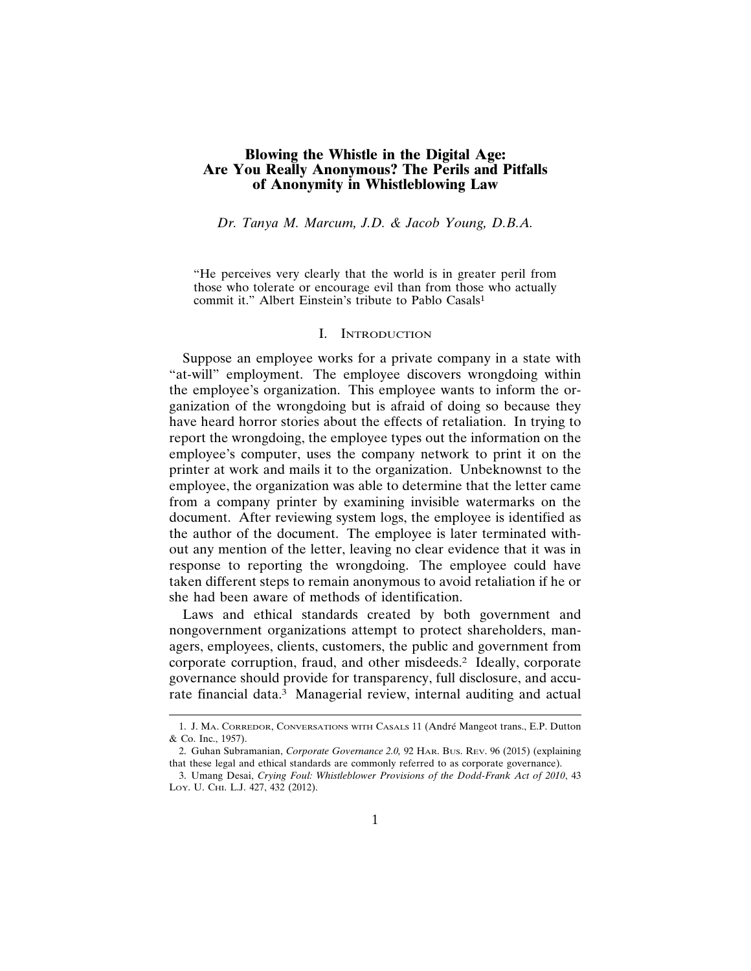# **Blowing the Whistle in the Digital Age: Are You Really Anonymous? The Perils and Pitfalls of Anonymity in Whistleblowing Law**

*Dr. Tanya M. Marcum, J.D. & Jacob Young, D.B.A.*

"He perceives very clearly that the world is in greater peril from those who tolerate or encourage evil than from those who actually commit it." Albert Einstein's tribute to Pablo Casals<sup>1</sup>

#### I. INTRODUCTION

Suppose an employee works for a private company in a state with "at-will" employment. The employee discovers wrongdoing within the employee's organization. This employee wants to inform the organization of the wrongdoing but is afraid of doing so because they have heard horror stories about the effects of retaliation. In trying to report the wrongdoing, the employee types out the information on the employee's computer, uses the company network to print it on the printer at work and mails it to the organization. Unbeknownst to the employee, the organization was able to determine that the letter came from a company printer by examining invisible watermarks on the document. After reviewing system logs, the employee is identified as the author of the document. The employee is later terminated without any mention of the letter, leaving no clear evidence that it was in response to reporting the wrongdoing. The employee could have taken different steps to remain anonymous to avoid retaliation if he or she had been aware of methods of identification.

Laws and ethical standards created by both government and nongovernment organizations attempt to protect shareholders, managers, employees, clients, customers, the public and government from corporate corruption, fraud, and other misdeeds.2 Ideally, corporate governance should provide for transparency, full disclosure, and accurate financial data.3 Managerial review, internal auditing and actual

<sup>1.</sup> J. MA. CORREDOR, CONVERSATIONS WITH CASALS 11 (André Mangeot trans., E.P. Dutton & Co. Inc., 1957).

<sup>2.</sup> Guhan Subramanian, *Corporate Governance 2.0*, 92 HAR. Bus. REV. 96 (2015) (explaining that these legal and ethical standards are commonly referred to as corporate governance).

<sup>3.</sup> Umang Desai, *Crying Foul: Whistleblower Provisions of the Dodd-Frank Act of 2010*, 43 LOY. U. CHI. L.J. 427, 432 (2012).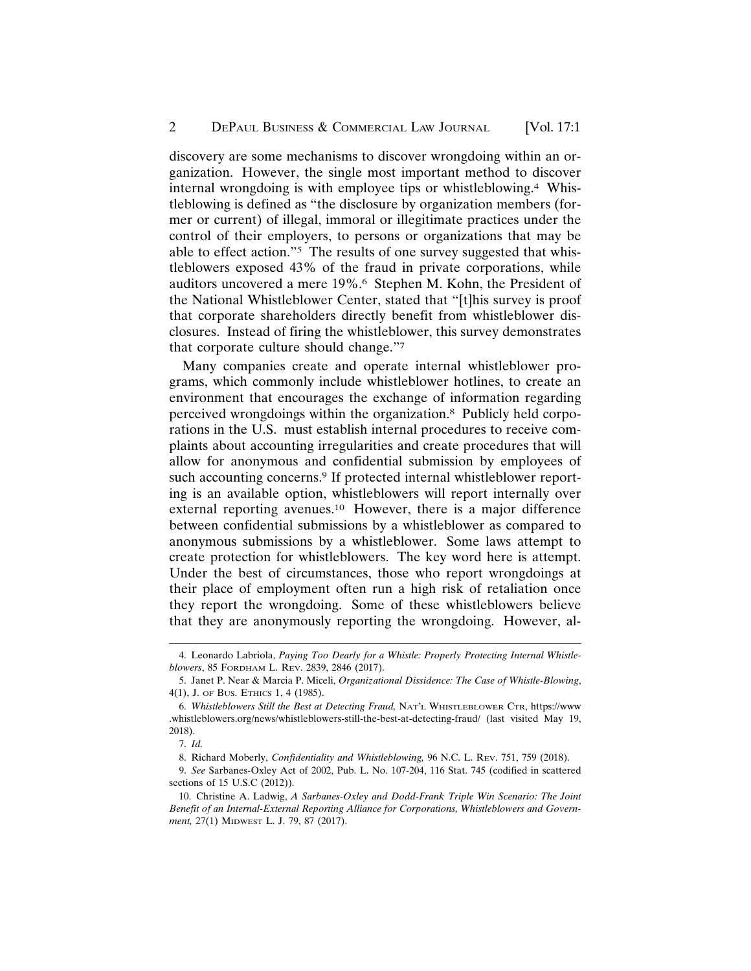discovery are some mechanisms to discover wrongdoing within an organization. However, the single most important method to discover internal wrongdoing is with employee tips or whistleblowing.4 Whistleblowing is defined as "the disclosure by organization members (former or current) of illegal, immoral or illegitimate practices under the control of their employers, to persons or organizations that may be able to effect action."5 The results of one survey suggested that whistleblowers exposed 43% of the fraud in private corporations, while auditors uncovered a mere 19%.6 Stephen M. Kohn, the President of the National Whistleblower Center, stated that "[t]his survey is proof that corporate shareholders directly benefit from whistleblower disclosures. Instead of firing the whistleblower, this survey demonstrates that corporate culture should change."7

Many companies create and operate internal whistleblower programs, which commonly include whistleblower hotlines, to create an environment that encourages the exchange of information regarding perceived wrongdoings within the organization.8 Publicly held corporations in the U.S. must establish internal procedures to receive complaints about accounting irregularities and create procedures that will allow for anonymous and confidential submission by employees of such accounting concerns.<sup>9</sup> If protected internal whistleblower reporting is an available option, whistleblowers will report internally over external reporting avenues.10 However, there is a major difference between confidential submissions by a whistleblower as compared to anonymous submissions by a whistleblower. Some laws attempt to create protection for whistleblowers. The key word here is attempt. Under the best of circumstances, those who report wrongdoings at their place of employment often run a high risk of retaliation once they report the wrongdoing. Some of these whistleblowers believe that they are anonymously reporting the wrongdoing. However, al-

<sup>4.</sup> Leonardo Labriola, *Paying Too Dearly for a Whistle: Properly Protecting Internal Whistleblowers*, 85 FORDHAM L. REV. 2839, 2846 (2017).

<sup>5.</sup> Janet P. Near & Marcia P. Miceli, *Organizational Dissidence: The Case of Whistle-Blowing*, 4(1), J. OF BUS. ETHICS 1, 4 (1985).

<sup>6.</sup> *Whistleblowers Still the Best at Detecting Fraud,* NAT'L WHISTLEBLOWER CTR, https://www .whistleblowers.org/news/whistleblowers-still-the-best-at-detecting-fraud/ (last visited May 19, 2018).

<sup>7.</sup> *Id.*

<sup>8.</sup> Richard Moberly, *Confidentiality and Whistleblowing,* 96 N.C. L. REV. 751, 759 (2018).

<sup>9.</sup> *See* Sarbanes-Oxley Act of 2002, Pub. L. No. 107-204, 116 Stat. 745 (codified in scattered sections of 15 U.S.C (2012)).

<sup>10.</sup> Christine A. Ladwig, *A Sarbanes-Oxley and Dodd-Frank Triple Win Scenario: The Joint Benefit of an Internal-External Reporting Alliance for Corporations, Whistleblowers and Government,* 27(1) MIDWEST L. J. 79, 87 (2017).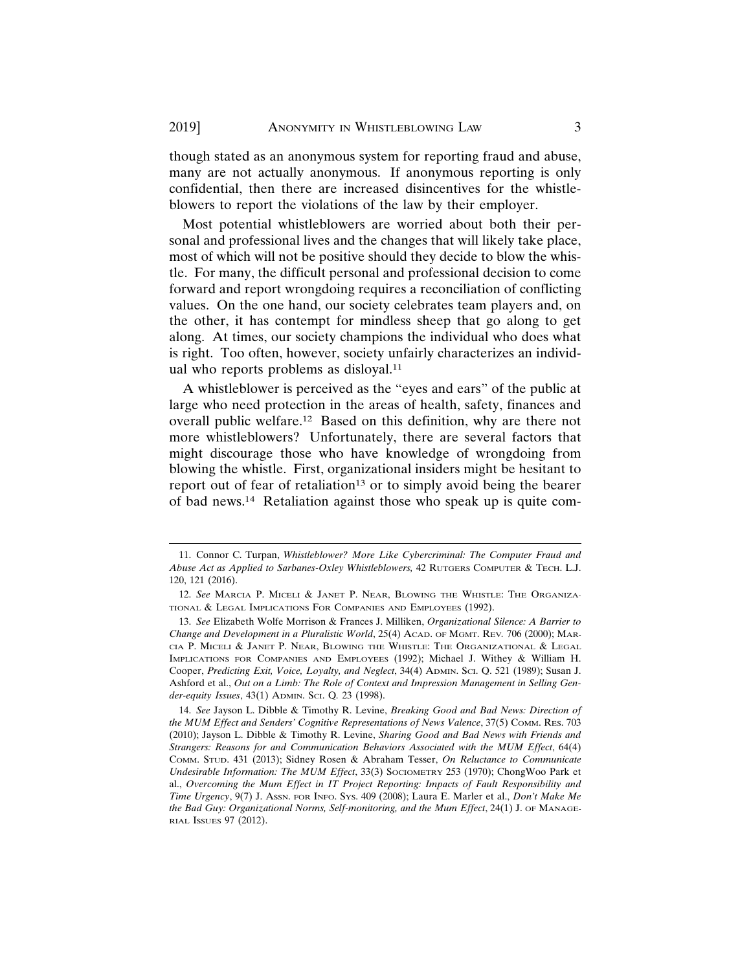though stated as an anonymous system for reporting fraud and abuse, many are not actually anonymous. If anonymous reporting is only confidential, then there are increased disincentives for the whistleblowers to report the violations of the law by their employer.

Most potential whistleblowers are worried about both their personal and professional lives and the changes that will likely take place, most of which will not be positive should they decide to blow the whistle. For many, the difficult personal and professional decision to come forward and report wrongdoing requires a reconciliation of conflicting values. On the one hand, our society celebrates team players and, on the other, it has contempt for mindless sheep that go along to get along. At times, our society champions the individual who does what is right. Too often, however, society unfairly characterizes an individual who reports problems as disloyal.11

A whistleblower is perceived as the "eyes and ears" of the public at large who need protection in the areas of health, safety, finances and overall public welfare.12 Based on this definition, why are there not more whistleblowers? Unfortunately, there are several factors that might discourage those who have knowledge of wrongdoing from blowing the whistle. First, organizational insiders might be hesitant to report out of fear of retaliation<sup>13</sup> or to simply avoid being the bearer of bad news.14 Retaliation against those who speak up is quite com-

<sup>11.</sup> Connor C. Turpan, *Whistleblower? More Like Cybercriminal: The Computer Fraud and Abuse Act as Applied to Sarbanes-Oxley Whistleblowers,* 42 RUTGERS COMPUTER & TECH. L.J. 120, 121 (2016).

<sup>12.</sup> *See* MARCIA P. MICELI & JANET P. NEAR, BLOWING THE WHISTLE: THE ORGANIZA-TIONAL & LEGAL IMPLICATIONS FOR COMPANIES AND EMPLOYEES (1992).

<sup>13.</sup> *See* Elizabeth Wolfe Morrison & Frances J. Milliken, *Organizational Silence: A Barrier to Change and Development in a Pluralistic World*, 25(4) ACAD. OF MGMT. REV*.* 706 (2000); MAR-CIA P. MICELI & JANET P. NEAR, BLOWING THE WHISTLE: THE ORGANIZATIONAL & LEGAL IMPLICATIONS FOR COMPANIES AND EMPLOYEES (1992); Michael J. Withey & William H. Cooper, *Predicting Exit, Voice, Loyalty, and Neglect*, 34(4) ADMIN. SCI. Q. 521 (1989); Susan J. Ashford et al., *Out on a Limb: The Role of Context and Impression Management in Selling Gender-equity Issues*, 43(1) ADMIN. SCI. Q*.* 23 (1998).

<sup>14.</sup> *See* Jayson L. Dibble & Timothy R. Levine, *Breaking Good and Bad News: Direction of the MUM Effect and Senders' Cognitive Representations of News Valence*, 37(5) COMM. RES. 703 (2010); Jayson L. Dibble & Timothy R. Levine, *Sharing Good and Bad News with Friends and Strangers: Reasons for and Communication Behaviors Associated with the MUM Effect*, 64(4) COMM. STUD. 431 (2013); Sidney Rosen & Abraham Tesser, *On Reluctance to Communicate Undesirable Information: The MUM Effect*, 33(3) SOCIOMETRY 253 (1970); ChongWoo Park et al., *Overcoming the Mum Effect in IT Project Reporting: Impacts of Fault Responsibility and Time Urgency*, 9(7) J. ASSN. FOR INFO. SYS. 409 (2008); Laura E. Marler et al., *Don't Make Me the Bad Guy: Organizational Norms, Self-monitoring, and the Mum Effect*, 24(1) J. OF MANAGE-RIAL ISSUES 97 (2012).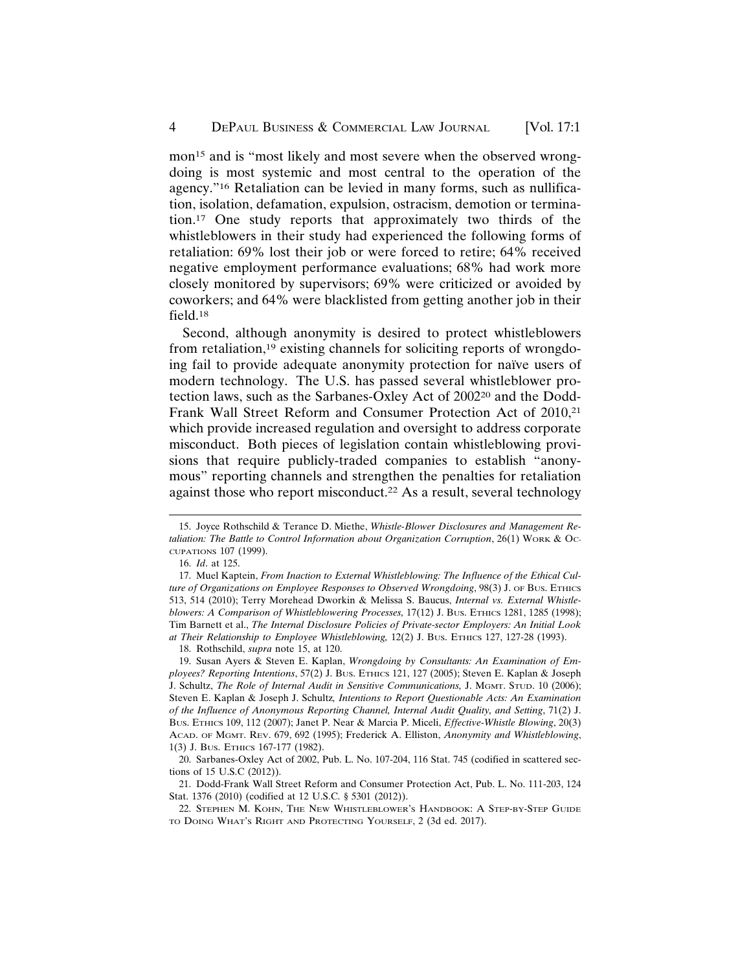mon<sup>15</sup> and is "most likely and most severe when the observed wrongdoing is most systemic and most central to the operation of the agency."16 Retaliation can be levied in many forms, such as nullification, isolation, defamation, expulsion, ostracism, demotion or termination.17 One study reports that approximately two thirds of the whistleblowers in their study had experienced the following forms of retaliation: 69% lost their job or were forced to retire; 64% received negative employment performance evaluations; 68% had work more closely monitored by supervisors; 69% were criticized or avoided by coworkers; and 64% were blacklisted from getting another job in their field.18

Second, although anonymity is desired to protect whistleblowers from retaliation,19 existing channels for soliciting reports of wrongdoing fail to provide adequate anonymity protection for naïve users of modern technology. The U.S. has passed several whistleblower protection laws, such as the Sarbanes-Oxley Act of 200220 and the Dodd-Frank Wall Street Reform and Consumer Protection Act of 2010,21 which provide increased regulation and oversight to address corporate misconduct. Both pieces of legislation contain whistleblowing provisions that require publicly-traded companies to establish "anonymous" reporting channels and strengthen the penalties for retaliation against those who report misconduct.<sup>22</sup> As a result, several technology

18. Rothschild, *supra* note 15, at 120.

21. Dodd-Frank Wall Street Reform and Consumer Protection Act, Pub. L. No. 111-203, 124 Stat. 1376 (2010) (codified at 12 U.S.C. § 5301 (2012)).

22. STEPHEN M. KOHN, THE NEW WHISTLEBLOWER'S HANDBOOK: A STEP-BY-STEP GUIDE TO DOING WHAT'S RIGHT AND PROTECTING YOURSELF, 2 (3d ed. 2017).

<sup>15.</sup> Joyce Rothschild & Terance D. Miethe, *Whistle-Blower Disclosures and Management Retaliation: The Battle to Control Information about Organization Corruption*, 26(1) WORK & OC-CUPATIONS 107 (1999).

<sup>16.</sup> *Id*. at 125.

<sup>17.</sup> Muel Kaptein, *From Inaction to External Whistleblowing: The Influence of the Ethical Culture of Organizations on Employee Responses to Observed Wrongdoing*, 98(3) J. OF BUS. ETHICS 513, 514 (2010); Terry Morehead Dworkin & Melissa S. Baucus, *Internal vs. External Whistle*blowers: A Comparison of Whistleblowering Processes, 17(12) J. Bus. ETHICS 1281, 1285 (1998); Tim Barnett et al., *The Internal Disclosure Policies of Private-sector Employers: An Initial Look at Their Relationship to Employee Whistleblowing,* 12(2) J. BUS. ETHICS 127, 127-28 (1993).

<sup>19.</sup> Susan Ayers & Steven E. Kaplan, *Wrongdoing by Consultants: An Examination of Employees? Reporting Intentions*, 57(2) J. BUS. ETHICS 121, 127 (2005); Steven E. Kaplan & Joseph J. Schultz, *The Role of Internal Audit in Sensitive Communications,* J. MGMT. STUD. 10 (2006); Steven E. Kaplan & Joseph J. Schultz*, Intentions to Report Questionable Acts: An Examination of the Influence of Anonymous Reporting Channel, Internal Audit Quality, and Setting*, 71(2) J. BUS. ETHICS 109, 112 (2007); Janet P. Near & Marcia P. Miceli, *Effective-Whistle Blowing*, 20(3) ACAD. OF MGMT. REV. 679, 692 (1995); Frederick A. Elliston, *Anonymity and Whistleblowing*, 1(3) J. BUS. ETHICS 167-177 (1982).

<sup>20.</sup> Sarbanes-Oxley Act of 2002, Pub. L. No. 107-204, 116 Stat. 745 (codified in scattered sections of 15 U.S.C (2012)).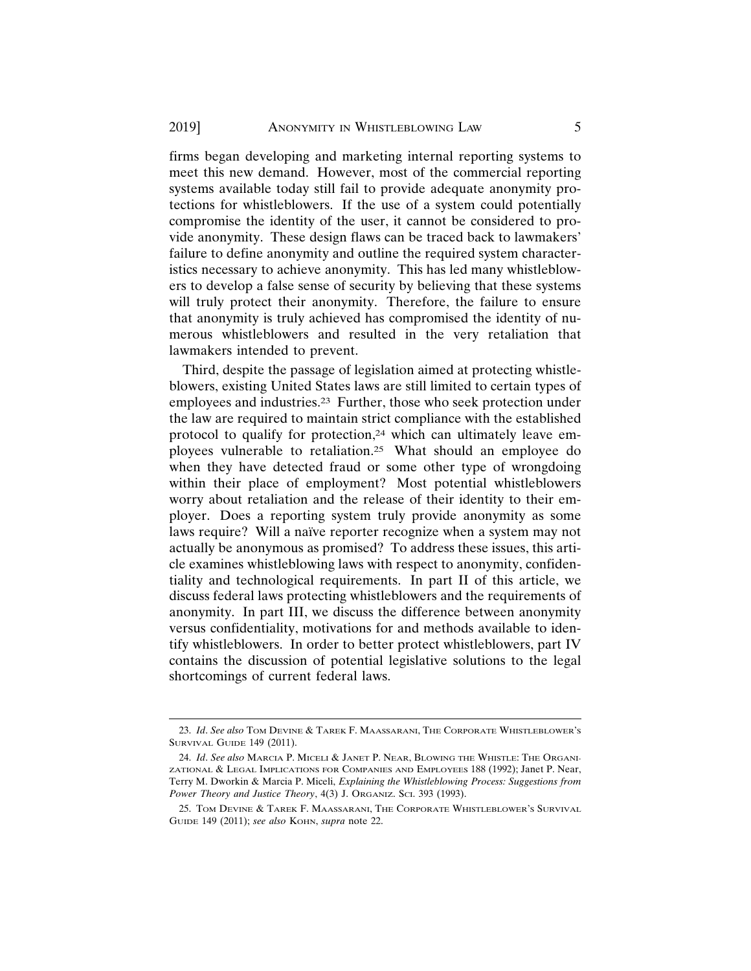firms began developing and marketing internal reporting systems to meet this new demand. However, most of the commercial reporting systems available today still fail to provide adequate anonymity protections for whistleblowers. If the use of a system could potentially compromise the identity of the user, it cannot be considered to provide anonymity. These design flaws can be traced back to lawmakers' failure to define anonymity and outline the required system characteristics necessary to achieve anonymity. This has led many whistleblowers to develop a false sense of security by believing that these systems will truly protect their anonymity. Therefore, the failure to ensure that anonymity is truly achieved has compromised the identity of numerous whistleblowers and resulted in the very retaliation that lawmakers intended to prevent.

Third, despite the passage of legislation aimed at protecting whistleblowers, existing United States laws are still limited to certain types of employees and industries.<sup>23</sup> Further, those who seek protection under the law are required to maintain strict compliance with the established protocol to qualify for protection,<sup>24</sup> which can ultimately leave employees vulnerable to retaliation.25 What should an employee do when they have detected fraud or some other type of wrongdoing within their place of employment? Most potential whistleblowers worry about retaliation and the release of their identity to their employer. Does a reporting system truly provide anonymity as some laws require? Will a naïve reporter recognize when a system may not actually be anonymous as promised? To address these issues, this article examines whistleblowing laws with respect to anonymity, confidentiality and technological requirements. In part II of this article, we discuss federal laws protecting whistleblowers and the requirements of anonymity. In part III, we discuss the difference between anonymity versus confidentiality, motivations for and methods available to identify whistleblowers. In order to better protect whistleblowers, part IV contains the discussion of potential legislative solutions to the legal shortcomings of current federal laws.

<sup>23.</sup> *Id*. *See also* TOM DEVINE & TAREK F. MAASSARANI, THE CORPORATE WHISTLEBLOWER'S SURVIVAL GUIDE 149 (2011).

<sup>24.</sup> *Id*. *See also* MARCIA P. MICELI & JANET P. NEAR, BLOWING THE WHISTLE: THE ORGANI-ZATIONAL & LEGAL IMPLICATIONS FOR COMPANIES AND EMPLOYEES 188 (1992); Janet P. Near, Terry M. Dworkin & Marcia P. Miceli, *Explaining the Whistleblowing Process: Suggestions from* Power Theory and Justice Theory, 4(3) J. ORGANIZ. SCI. 393 (1993).

<sup>25.</sup> TOM DEVINE & TAREK F. MAASSARANI, THE CORPORATE WHISTLEBLOWER'S SURVIVAL GUIDE 149 (2011); *see also* KOHN, *supra* note 22.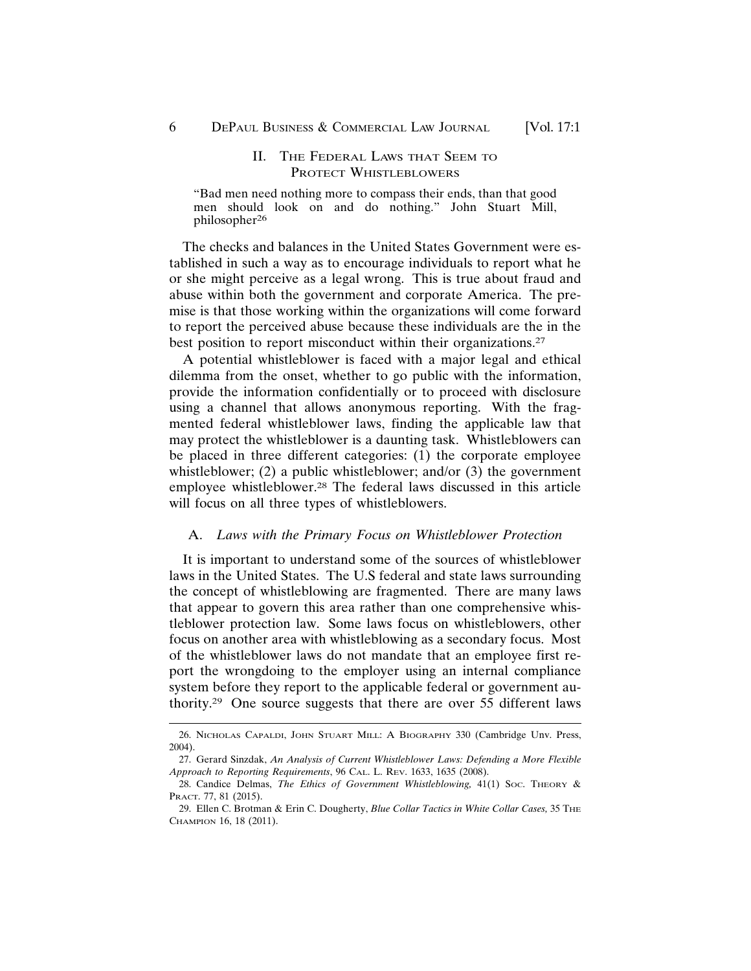# II. THE FEDERAL LAWS THAT SEEM TO PROTECT WHISTLEBLOWERS

"Bad men need nothing more to compass their ends, than that good men should look on and do nothing." John Stuart Mill, philosopher<sup>26</sup>

The checks and balances in the United States Government were established in such a way as to encourage individuals to report what he or she might perceive as a legal wrong. This is true about fraud and abuse within both the government and corporate America. The premise is that those working within the organizations will come forward to report the perceived abuse because these individuals are the in the best position to report misconduct within their organizations.<sup>27</sup>

A potential whistleblower is faced with a major legal and ethical dilemma from the onset, whether to go public with the information, provide the information confidentially or to proceed with disclosure using a channel that allows anonymous reporting. With the fragmented federal whistleblower laws, finding the applicable law that may protect the whistleblower is a daunting task. Whistleblowers can be placed in three different categories: (1) the corporate employee whistleblower; (2) a public whistleblower; and/or (3) the government employee whistleblower.28 The federal laws discussed in this article will focus on all three types of whistleblowers.

#### A. *Laws with the Primary Focus on Whistleblower Protection*

It is important to understand some of the sources of whistleblower laws in the United States. The U.S federal and state laws surrounding the concept of whistleblowing are fragmented. There are many laws that appear to govern this area rather than one comprehensive whistleblower protection law. Some laws focus on whistleblowers, other focus on another area with whistleblowing as a secondary focus. Most of the whistleblower laws do not mandate that an employee first report the wrongdoing to the employer using an internal compliance system before they report to the applicable federal or government authority.29 One source suggests that there are over 55 different laws

<sup>26.</sup> NICHOLAS CAPALDI, JOHN STUART MILL: A BIOGRAPHY 330 (Cambridge Unv. Press, 2004).

<sup>27.</sup> Gerard Sinzdak, *An Analysis of Current Whistleblower Laws: Defending a More Flexible Approach to Reporting Requirements*, 96 CAL. L. REV. 1633, 1635 (2008).

<sup>28.</sup> Candice Delmas, *The Ethics of Government Whistleblowing*, 41(1) Soc. THEORY & PRACT. 77, 81 (2015).

<sup>29.</sup> Ellen C. Brotman & Erin C. Dougherty, *Blue Collar Tactics in White Collar Cases*, 35 THE CHAMPION 16, 18 (2011).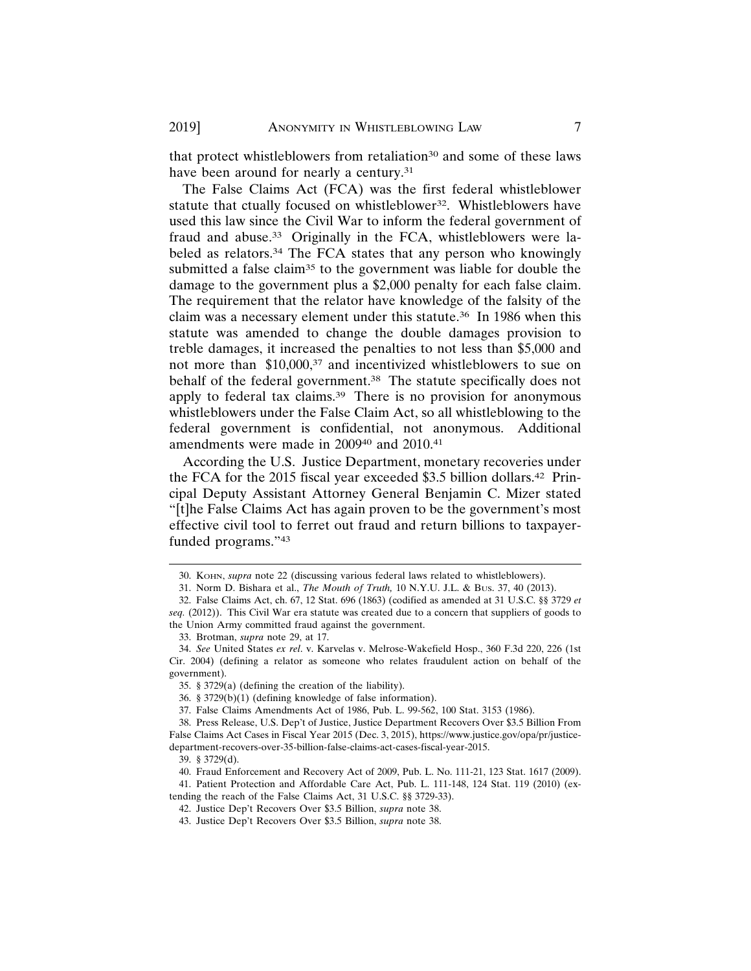that protect whistleblowers from retaliation<sup>30</sup> and some of these laws have been around for nearly a century.<sup>31</sup>

The False Claims Act (FCA) was the first federal whistleblower statute that ctually focused on whistleblower<sup>32</sup>. Whistleblowers have used this law since the Civil War to inform the federal government of fraud and abuse.33 Originally in the FCA, whistleblowers were labeled as relators.34 The FCA states that any person who knowingly submitted a false claim<sup>35</sup> to the government was liable for double the damage to the government plus a \$2,000 penalty for each false claim. The requirement that the relator have knowledge of the falsity of the claim was a necessary element under this statute.36 In 1986 when this statute was amended to change the double damages provision to treble damages, it increased the penalties to not less than \$5,000 and not more than \$10,000,<sup>37</sup> and incentivized whistleblowers to sue on behalf of the federal government.<sup>38</sup> The statute specifically does not apply to federal tax claims.39 There is no provision for anonymous whistleblowers under the False Claim Act, so all whistleblowing to the federal government is confidential, not anonymous. Additional amendments were made in 2009<sup>40</sup> and 2010.<sup>41</sup>

According the U.S. Justice Department, monetary recoveries under the FCA for the 2015 fiscal year exceeded \$3.5 billion dollars.42 Principal Deputy Assistant Attorney General Benjamin C. Mizer stated "[t]he False Claims Act has again proven to be the government's most effective civil tool to ferret out fraud and return billions to taxpayerfunded programs."43

<sup>30.</sup> KOHN, *supra* note 22 (discussing various federal laws related to whistleblowers).

<sup>31.</sup> Norm D. Bishara et al., *The Mouth of Truth,* 10 N.Y.U. J.L. & BUS. 37, 40 (2013).

<sup>32.</sup> False Claims Act, ch. 67, 12 Stat. 696 (1863) (codified as amended at 31 U.S.C. §§ 3729 *et seq.* (2012)). This Civil War era statute was created due to a concern that suppliers of goods to the Union Army committed fraud against the government.

<sup>33.</sup> Brotman, *supra* note 29, at 17.

<sup>34.</sup> *See* United States *ex rel*. v. Karvelas v. Melrose-Wakefield Hosp., 360 F.3d 220, 226 (1st Cir. 2004) (defining a relator as someone who relates fraudulent action on behalf of the government).

<sup>35. § 3729(</sup>a) (defining the creation of the liability).

<sup>36. § 3729(</sup>b)(1) (defining knowledge of false information).

<sup>37.</sup> False Claims Amendments Act of 1986, Pub. L. 99-562, 100 Stat. 3153 (1986).

<sup>38.</sup> Press Release, U.S. Dep't of Justice, Justice Department Recovers Over \$3.5 Billion From False Claims Act Cases in Fiscal Year 2015 (Dec. 3, 2015), https://www.justice.gov/opa/pr/justicedepartment-recovers-over-35-billion-false-claims-act-cases-fiscal-year-2015.

<sup>39. § 3729(</sup>d).

<sup>40.</sup> Fraud Enforcement and Recovery Act of 2009, Pub. L. No. 111-21, 123 Stat. 1617 (2009).

<sup>41.</sup> Patient Protection and Affordable Care Act, Pub. L. 111-148, 124 Stat. 119 (2010) (extending the reach of the False Claims Act, 31 U.S.C. §§ 3729-33).

<sup>42.</sup> Justice Dep't Recovers Over \$3.5 Billion, *supra* note 38.

<sup>43.</sup> Justice Dep't Recovers Over \$3.5 Billion, *supra* note 38.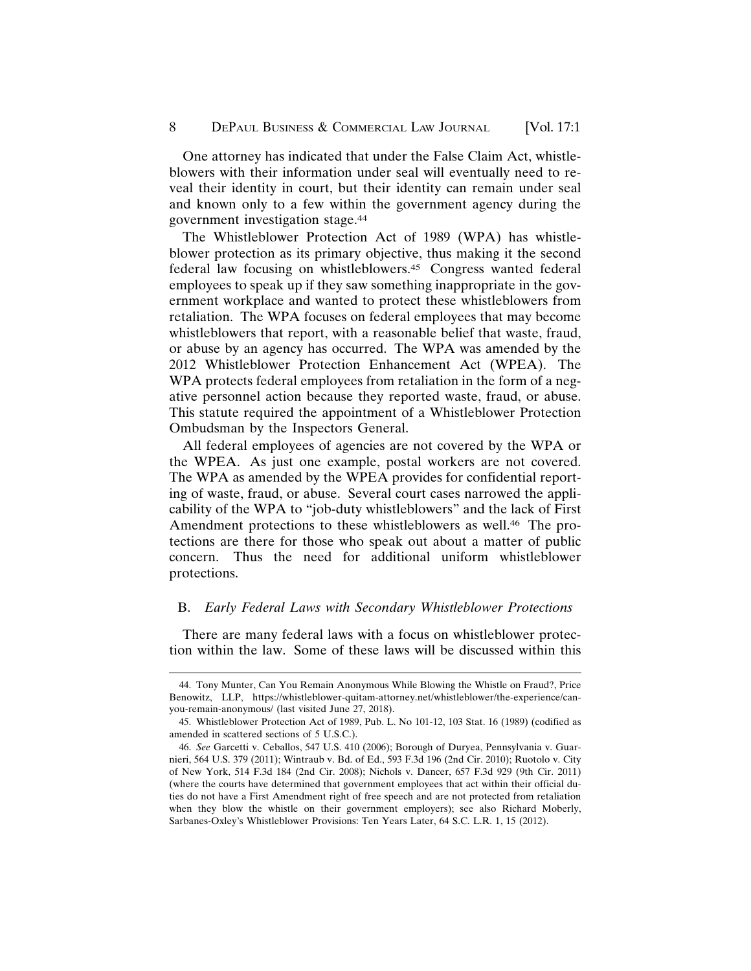One attorney has indicated that under the False Claim Act, whistleblowers with their information under seal will eventually need to reveal their identity in court, but their identity can remain under seal and known only to a few within the government agency during the government investigation stage.44

The Whistleblower Protection Act of 1989 (WPA) has whistleblower protection as its primary objective, thus making it the second federal law focusing on whistleblowers.45 Congress wanted federal employees to speak up if they saw something inappropriate in the government workplace and wanted to protect these whistleblowers from retaliation. The WPA focuses on federal employees that may become whistleblowers that report, with a reasonable belief that waste, fraud, or abuse by an agency has occurred. The WPA was amended by the 2012 Whistleblower Protection Enhancement Act (WPEA). The WPA protects federal employees from retaliation in the form of a negative personnel action because they reported waste, fraud, or abuse. This statute required the appointment of a Whistleblower Protection Ombudsman by the Inspectors General.

All federal employees of agencies are not covered by the WPA or the WPEA. As just one example, postal workers are not covered. The WPA as amended by the WPEA provides for confidential reporting of waste, fraud, or abuse. Several court cases narrowed the applicability of the WPA to "job-duty whistleblowers" and the lack of First Amendment protections to these whistleblowers as well.<sup>46</sup> The protections are there for those who speak out about a matter of public concern. Thus the need for additional uniform whistleblower protections.

#### B. *Early Federal Laws with Secondary Whistleblower Protections*

There are many federal laws with a focus on whistleblower protection within the law. Some of these laws will be discussed within this

<sup>44.</sup> Tony Munter, Can You Remain Anonymous While Blowing the Whistle on Fraud?, Price Benowitz, LLP, https://whistleblower-quitam-attorney.net/whistleblower/the-experience/canyou-remain-anonymous/ (last visited June 27, 2018).

<sup>45.</sup> Whistleblower Protection Act of 1989, Pub. L. No 101-12, 103 Stat. 16 (1989) (codified as amended in scattered sections of 5 U.S.C.).

<sup>46.</sup> *See* Garcetti v. Ceballos, 547 U.S. 410 (2006); Borough of Duryea, Pennsylvania v. Guarnieri, 564 U.S. 379 (2011); Wintraub v. Bd. of Ed., 593 F.3d 196 (2nd Cir. 2010); Ruotolo v. City of New York, 514 F.3d 184 (2nd Cir. 2008); Nichols v. Dancer, 657 F.3d 929 (9th Cir. 2011) (where the courts have determined that government employees that act within their official duties do not have a First Amendment right of free speech and are not protected from retaliation when they blow the whistle on their government employers); see also Richard Moberly, Sarbanes-Oxley's Whistleblower Provisions: Ten Years Later, 64 S.C. L.R. 1, 15 (2012).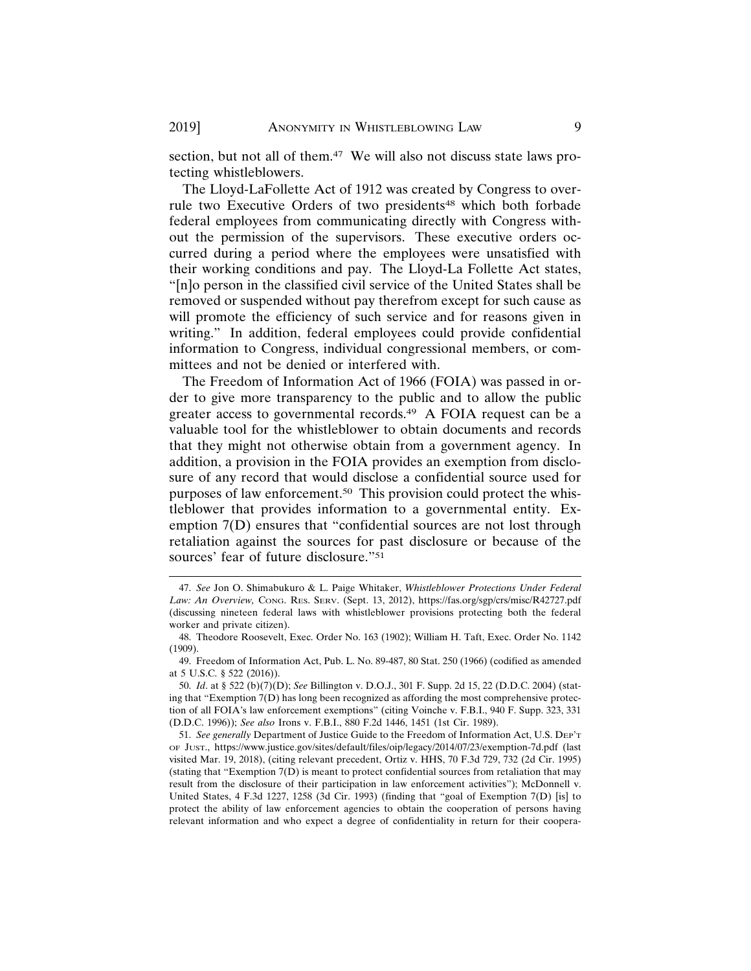section, but not all of them.<sup>47</sup> We will also not discuss state laws protecting whistleblowers.

The Lloyd-LaFollette Act of 1912 was created by Congress to overrule two Executive Orders of two presidents<sup>48</sup> which both forbade federal employees from communicating directly with Congress without the permission of the supervisors. These executive orders occurred during a period where the employees were unsatisfied with their working conditions and pay. The Lloyd-La Follette Act states, "[n]o person in the classified civil service of the United States shall be removed or suspended without pay therefrom except for such cause as will promote the efficiency of such service and for reasons given in writing." In addition, federal employees could provide confidential information to Congress, individual congressional members, or committees and not be denied or interfered with.

The Freedom of Information Act of 1966 (FOIA) was passed in order to give more transparency to the public and to allow the public greater access to governmental records.49 A FOIA request can be a valuable tool for the whistleblower to obtain documents and records that they might not otherwise obtain from a government agency. In addition, a provision in the FOIA provides an exemption from disclosure of any record that would disclose a confidential source used for purposes of law enforcement.50 This provision could protect the whistleblower that provides information to a governmental entity. Exemption 7(D) ensures that "confidential sources are not lost through retaliation against the sources for past disclosure or because of the sources' fear of future disclosure."51

<sup>47.</sup> *See* Jon O. Shimabukuro & L. Paige Whitaker, *Whistleblower Protections Under Federal Law: An Overview,* CONG. RES. SERV. (Sept. 13, 2012), https://fas.org/sgp/crs/misc/R42727.pdf (discussing nineteen federal laws with whistleblower provisions protecting both the federal worker and private citizen).

<sup>48.</sup> Theodore Roosevelt, Exec. Order No. 163 (1902); William H. Taft, Exec. Order No. 1142 (1909).

<sup>49.</sup> Freedom of Information Act, Pub. L. No. 89-487, 80 Stat. 250 (1966) (codified as amended at 5 U.S.C. § 522 (2016)).

<sup>50.</sup> *Id*. at § 522 (b)(7)(D); *See* Billington v. D.O.J., 301 F. Supp. 2d 15, 22 (D.D.C. 2004) (stating that "Exemption 7(D) has long been recognized as affording the most comprehensive protection of all FOIA's law enforcement exemptions" (citing Voinche v. F.B.I., 940 F. Supp. 323, 331 (D.D.C. 1996)); *See also* Irons v. F.B.I., 880 F.2d 1446, 1451 (1st Cir. 1989).

<sup>51.</sup> *See generally* Department of Justice Guide to the Freedom of Information Act, U.S. DEP'T OF JUST., https://www.justice.gov/sites/default/files/oip/legacy/2014/07/23/exemption-7d.pdf (last visited Mar. 19, 2018), (citing relevant precedent, Ortiz v. HHS, 70 F.3d 729, 732 (2d Cir. 1995) (stating that "Exemption 7(D) is meant to protect confidential sources from retaliation that may result from the disclosure of their participation in law enforcement activities"); McDonnell v. United States, 4 F.3d 1227, 1258 (3d Cir. 1993) (finding that "goal of Exemption 7(D) [is] to protect the ability of law enforcement agencies to obtain the cooperation of persons having relevant information and who expect a degree of confidentiality in return for their coopera-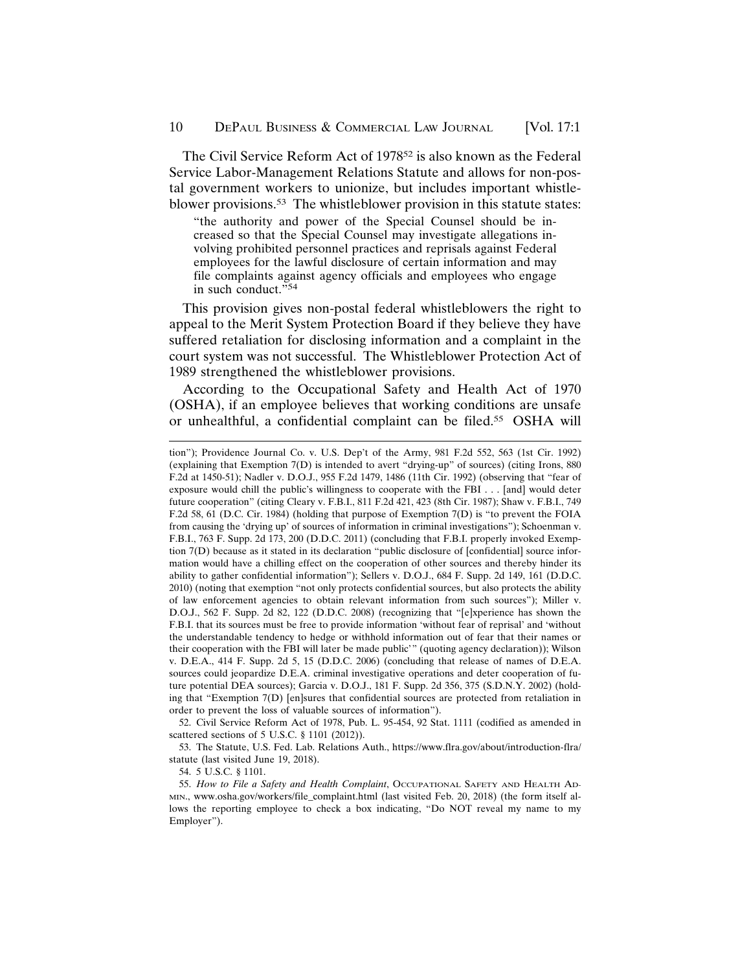The Civil Service Reform Act of 1978<sup>52</sup> is also known as the Federal Service Labor-Management Relations Statute and allows for non-postal government workers to unionize, but includes important whistleblower provisions.53 The whistleblower provision in this statute states:

"the authority and power of the Special Counsel should be increased so that the Special Counsel may investigate allegations involving prohibited personnel practices and reprisals against Federal employees for the lawful disclosure of certain information and may file complaints against agency officials and employees who engage in such conduct."54

This provision gives non-postal federal whistleblowers the right to appeal to the Merit System Protection Board if they believe they have suffered retaliation for disclosing information and a complaint in the court system was not successful. The Whistleblower Protection Act of 1989 strengthened the whistleblower provisions.

According to the Occupational Safety and Health Act of 1970 (OSHA), if an employee believes that working conditions are unsafe or unhealthful, a confidential complaint can be filed.55 OSHA will

52. Civil Service Reform Act of 1978, Pub. L. 95-454, 92 Stat. 1111 (codified as amended in scattered sections of 5 U.S.C. § 1101 (2012)).

53. The Statute, U.S. Fed. Lab. Relations Auth., https://www.flra.gov/about/introduction-flra/ statute (last visited June 19, 2018).

54. 5 U.S.C. § 1101.

tion"); Providence Journal Co. v. U.S. Dep't of the Army, 981 F.2d 552, 563 (1st Cir. 1992) (explaining that Exemption 7(D) is intended to avert "drying-up" of sources) (citing Irons, 880 F.2d at 1450-51); Nadler v. D.O.J., 955 F.2d 1479, 1486 (11th Cir. 1992) (observing that "fear of exposure would chill the public's willingness to cooperate with the FBI . . . [and] would deter future cooperation" (citing Cleary v. F.B.I., 811 F.2d 421, 423 (8th Cir. 1987); Shaw v. F.B.I., 749 F.2d 58, 61 (D.C. Cir. 1984) (holding that purpose of Exemption 7(D) is "to prevent the FOIA from causing the 'drying up' of sources of information in criminal investigations"); Schoenman v. F.B.I., 763 F. Supp. 2d 173, 200 (D.D.C. 2011) (concluding that F.B.I. properly invoked Exemption 7(D) because as it stated in its declaration "public disclosure of [confidential] source information would have a chilling effect on the cooperation of other sources and thereby hinder its ability to gather confidential information"); Sellers v. D.O.J., 684 F. Supp. 2d 149, 161 (D.D.C. 2010) (noting that exemption "not only protects confidential sources, but also protects the ability of law enforcement agencies to obtain relevant information from such sources"); Miller v. D.O.J., 562 F. Supp. 2d 82, 122 (D.D.C. 2008) (recognizing that "[e]xperience has shown the F.B.I. that its sources must be free to provide information 'without fear of reprisal' and 'without the understandable tendency to hedge or withhold information out of fear that their names or their cooperation with the FBI will later be made public'" (quoting agency declaration)); Wilson v. D.E.A., 414 F. Supp. 2d 5, 15 (D.D.C. 2006) (concluding that release of names of D.E.A. sources could jeopardize D.E.A. criminal investigative operations and deter cooperation of future potential DEA sources); Garcia v. D.O.J., 181 F. Supp. 2d 356, 375 (S.D.N.Y. 2002) (holding that "Exemption 7(D) [en]sures that confidential sources are protected from retaliation in order to prevent the loss of valuable sources of information").

<sup>55.</sup> *How to File a Safety and Health Complaint*, OCCUPATIONAL SAFETY AND HEALTH AD-MIN., www.osha.gov/workers/file\_complaint.html (last visited Feb. 20, 2018) (the form itself allows the reporting employee to check a box indicating, "Do NOT reveal my name to my Employer").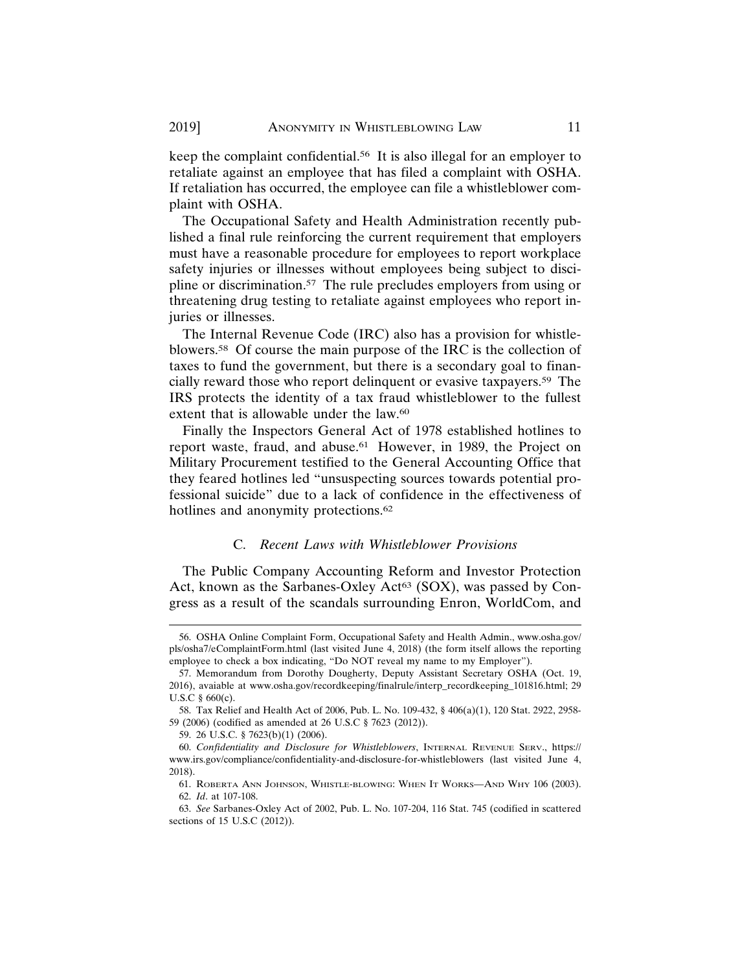keep the complaint confidential.56 It is also illegal for an employer to retaliate against an employee that has filed a complaint with OSHA. If retaliation has occurred, the employee can file a whistleblower complaint with OSHA.

The Occupational Safety and Health Administration recently published a final rule reinforcing the current requirement that employers must have a reasonable procedure for employees to report workplace safety injuries or illnesses without employees being subject to discipline or discrimination.57 The rule precludes employers from using or threatening drug testing to retaliate against employees who report injuries or illnesses.

The Internal Revenue Code (IRC) also has a provision for whistleblowers.58 Of course the main purpose of the IRC is the collection of taxes to fund the government, but there is a secondary goal to financially reward those who report delinquent or evasive taxpayers.59 The IRS protects the identity of a tax fraud whistleblower to the fullest extent that is allowable under the law.<sup>60</sup>

Finally the Inspectors General Act of 1978 established hotlines to report waste, fraud, and abuse.<sup>61</sup> However, in 1989, the Project on Military Procurement testified to the General Accounting Office that they feared hotlines led "unsuspecting sources towards potential professional suicide" due to a lack of confidence in the effectiveness of hotlines and anonymity protections.<sup>62</sup>

#### C. *Recent Laws with Whistleblower Provisions*

The Public Company Accounting Reform and Investor Protection Act, known as the Sarbanes-Oxley Act<sup>63</sup> (SOX), was passed by Congress as a result of the scandals surrounding Enron, WorldCom, and

<sup>56.</sup> OSHA Online Complaint Form, Occupational Safety and Health Admin., www.osha.gov/ pls/osha7/eComplaintForm.html (last visited June 4, 2018) (the form itself allows the reporting employee to check a box indicating, "Do NOT reveal my name to my Employer").

<sup>57.</sup> Memorandum from Dorothy Dougherty, Deputy Assistant Secretary OSHA (Oct. 19, 2016), avaiable at www.osha.gov/recordkeeping/finalrule/interp\_recordkeeping\_101816.html; 29 U.S.C § 660(c).

<sup>58.</sup> Tax Relief and Health Act of 2006, Pub. L. No. 109-432, § 406(a)(1), 120 Stat. 2922, 2958- 59 (2006) (codified as amended at 26 U.S.C § 7623 (2012)).

<sup>59. 26</sup> U.S.C. § 7623(b)(1) (2006).

<sup>60.</sup> *Confidentiality and Disclosure for Whistleblowers*, INTERNAL REVENUE SERV., https:// www.irs.gov/compliance/confidentiality-and-disclosure-for-whistleblowers (last visited June 4, 2018).

<sup>61.</sup> ROBERTA ANN JOHNSON, WHISTLE-BLOWING: WHEN IT WORKS—AND WHY 106 (2003). 62. *Id*. at 107-108.

<sup>63.</sup> *See* Sarbanes-Oxley Act of 2002, Pub. L. No. 107-204, 116 Stat. 745 (codified in scattered sections of 15 U.S.C (2012)).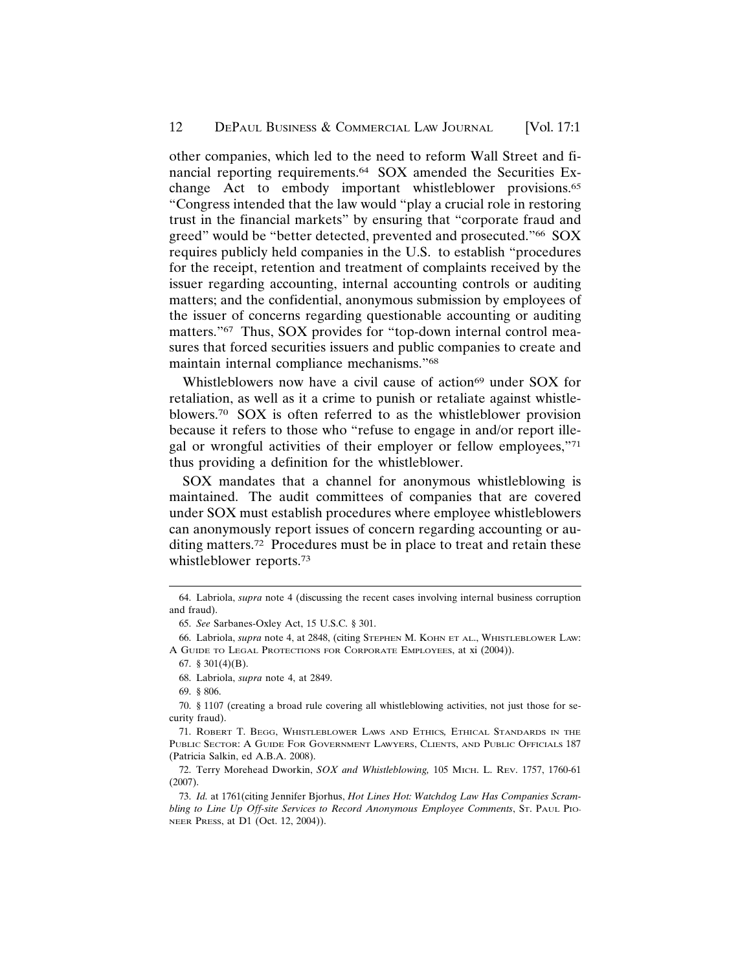other companies, which led to the need to reform Wall Street and financial reporting requirements.64 SOX amended the Securities Exchange Act to embody important whistleblower provisions.65 "Congress intended that the law would "play a crucial role in restoring trust in the financial markets" by ensuring that "corporate fraud and greed" would be "better detected, prevented and prosecuted."66 SOX requires publicly held companies in the U.S. to establish "procedures for the receipt, retention and treatment of complaints received by the issuer regarding accounting, internal accounting controls or auditing matters; and the confidential, anonymous submission by employees of the issuer of concerns regarding questionable accounting or auditing matters."67 Thus, SOX provides for "top-down internal control measures that forced securities issuers and public companies to create and maintain internal compliance mechanisms."68

Whistleblowers now have a civil cause of action<sup>69</sup> under SOX for retaliation, as well as it a crime to punish or retaliate against whistleblowers.70 SOX is often referred to as the whistleblower provision because it refers to those who "refuse to engage in and/or report illegal or wrongful activities of their employer or fellow employees,"71 thus providing a definition for the whistleblower.

SOX mandates that a channel for anonymous whistleblowing is maintained. The audit committees of companies that are covered under SOX must establish procedures where employee whistleblowers can anonymously report issues of concern regarding accounting or auditing matters.72 Procedures must be in place to treat and retain these whistleblower reports.73

<sup>64.</sup> Labriola, *supra* note 4 (discussing the recent cases involving internal business corruption and fraud).

<sup>65.</sup> *See* Sarbanes-Oxley Act, 15 U.S.C. § 301.

<sup>66.</sup> Labriola, *supra* note 4, at 2848, (citing STEPHEN M. KOHN ET AL., WHISTLEBLOWER LAW: A GUIDE TO LEGAL PROTECTIONS FOR CORPORATE EMPLOYEES, at xi (2004)).

<sup>67. § 301(4)(</sup>B).

<sup>68.</sup> Labriola, *supra* note 4, at 2849.

<sup>69. § 806.</sup>

<sup>70. § 1107 (</sup>creating a broad rule covering all whistleblowing activities, not just those for security fraud).

<sup>71.</sup> ROBERT T. BEGG, WHISTLEBLOWER LAWS AND ETHICS*,* ETHICAL STANDARDS IN THE PUBLIC SECTOR: A GUIDE FOR GOVERNMENT LAWYERS, CLIENTS, AND PUBLIC OFFICIALS 187 (Patricia Salkin, ed A.B.A. 2008).

<sup>72.</sup> Terry Morehead Dworkin, *SOX and Whistleblowing,* 105 MICH. L. REV. 1757, 1760-61 (2007).

<sup>73.</sup> *Id.* at 1761(citing Jennifer Bjorhus, *Hot Lines Hot: Watchdog Law Has Companies Scrambling to Line Up Off-site Services to Record Anonymous Employee Comments*, St. PAUL PIO-NEER PRESS, at D1 (Oct. 12, 2004)).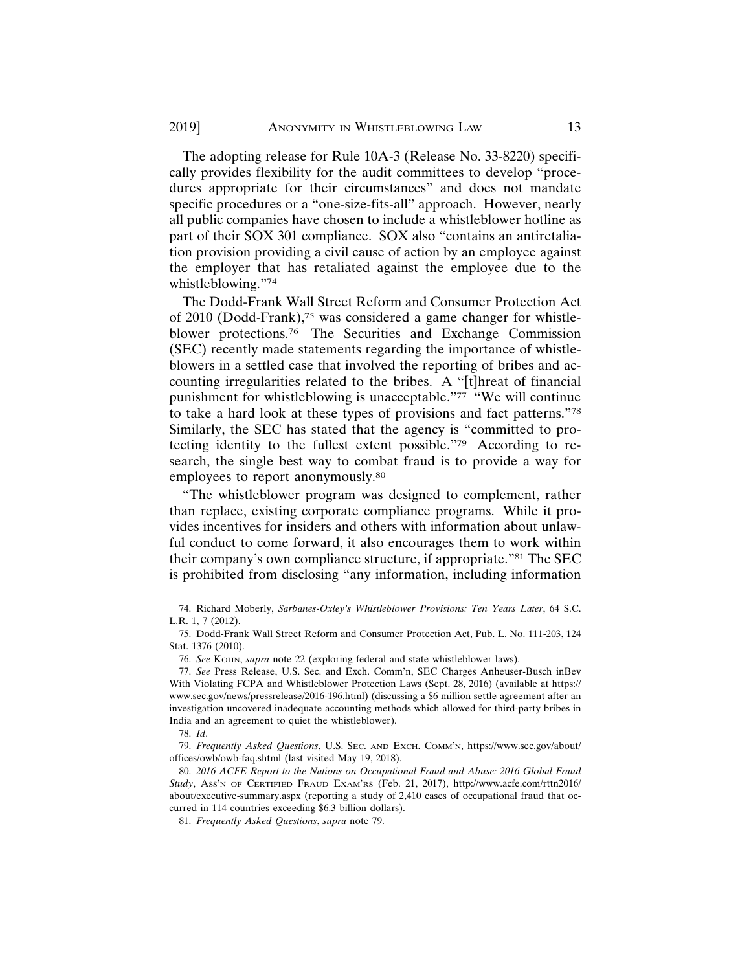The adopting release for Rule 10A-3 (Release No. 33-8220) specifically provides flexibility for the audit committees to develop "procedures appropriate for their circumstances" and does not mandate specific procedures or a "one-size-fits-all" approach. However, nearly all public companies have chosen to include a whistleblower hotline as part of their SOX 301 compliance. SOX also "contains an antiretaliation provision providing a civil cause of action by an employee against the employer that has retaliated against the employee due to the whistleblowing."74

The Dodd-Frank Wall Street Reform and Consumer Protection Act of 2010 (Dodd-Frank),75 was considered a game changer for whistleblower protections.76 The Securities and Exchange Commission (SEC) recently made statements regarding the importance of whistleblowers in a settled case that involved the reporting of bribes and accounting irregularities related to the bribes. A "[t]hreat of financial punishment for whistleblowing is unacceptable."<sup>77</sup> "We will continue to take a hard look at these types of provisions and fact patterns."78 Similarly, the SEC has stated that the agency is "committed to protecting identity to the fullest extent possible."79 According to research, the single best way to combat fraud is to provide a way for employees to report anonymously.80

"The whistleblower program was designed to complement, rather than replace, existing corporate compliance programs. While it provides incentives for insiders and others with information about unlawful conduct to come forward, it also encourages them to work within their company's own compliance structure, if appropriate."81 The SEC is prohibited from disclosing "any information, including information

<sup>74.</sup> Richard Moberly, *Sarbanes-Oxley's Whistleblower Provisions: Ten Years Later*, 64 S.C. L.R. 1, 7 (2012).

<sup>75.</sup> Dodd-Frank Wall Street Reform and Consumer Protection Act, Pub. L. No. 111-203, 124 Stat. 1376 (2010).

<sup>76.</sup> *See* KOHN, *supra* note 22 (exploring federal and state whistleblower laws).

<sup>77.</sup> *See* Press Release, U.S. Sec. and Exch. Comm'n, SEC Charges Anheuser-Busch inBev With Violating FCPA and Whistleblower Protection Laws (Sept. 28, 2016) (available at https:// www.sec.gov/news/pressrelease/2016-196.html) (discussing a \$6 million settle agreement after an investigation uncovered inadequate accounting methods which allowed for third-party bribes in India and an agreement to quiet the whistleblower).

<sup>78.</sup> *Id*.

<sup>79.</sup> *Frequently Asked Questions*, U.S. SEC. AND EXCH. COMM'N, https://www.sec.gov/about/ offices/owb/owb-faq.shtml (last visited May 19, 2018).

<sup>80.</sup> *2016 ACFE Report to the Nations on Occupational Fraud and Abuse: 2016 Global Fraud Study*, ASS'N OF CERTIFIED FRAUD EXAM'RS (Feb. 21, 2017), http://www.acfe.com/rttn2016/ about/executive-summary.aspx (reporting a study of 2,410 cases of occupational fraud that occurred in 114 countries exceeding \$6.3 billion dollars).

<sup>81.</sup> *Frequently Asked Questions*, *supra* note 79.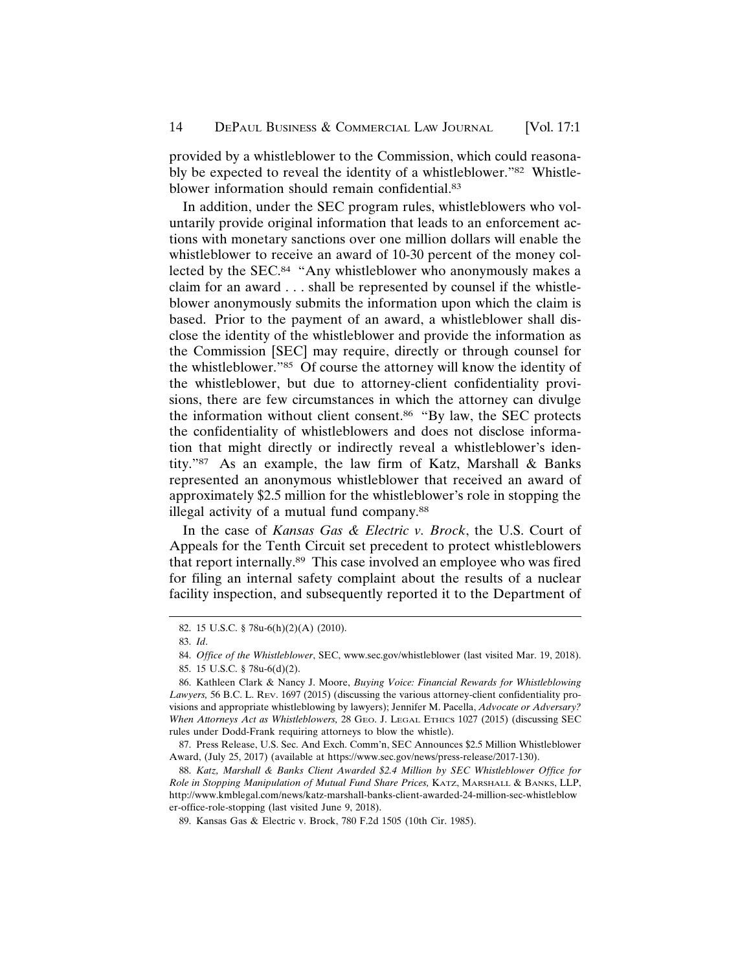provided by a whistleblower to the Commission, which could reasonably be expected to reveal the identity of a whistleblower."82 Whistleblower information should remain confidential.83

In addition, under the SEC program rules, whistleblowers who voluntarily provide original information that leads to an enforcement actions with monetary sanctions over one million dollars will enable the whistleblower to receive an award of 10-30 percent of the money collected by the SEC.<sup>84</sup> "Any whistleblower who anonymously makes a claim for an award . . . shall be represented by counsel if the whistleblower anonymously submits the information upon which the claim is based. Prior to the payment of an award, a whistleblower shall disclose the identity of the whistleblower and provide the information as the Commission [SEC] may require, directly or through counsel for the whistleblower."85 Of course the attorney will know the identity of the whistleblower, but due to attorney-client confidentiality provisions, there are few circumstances in which the attorney can divulge the information without client consent.86 "By law, the SEC protects the confidentiality of whistleblowers and does not disclose information that might directly or indirectly reveal a whistleblower's identity."87 As an example, the law firm of Katz, Marshall & Banks represented an anonymous whistleblower that received an award of approximately \$2.5 million for the whistleblower's role in stopping the illegal activity of a mutual fund company.88

In the case of *Kansas Gas & Electric v. Brock*, the U.S. Court of Appeals for the Tenth Circuit set precedent to protect whistleblowers that report internally.89 This case involved an employee who was fired for filing an internal safety complaint about the results of a nuclear facility inspection, and subsequently reported it to the Department of

<sup>82. 15</sup> U.S.C. § 78u-6(h)(2)(A) (2010).

<sup>83.</sup> *Id*.

<sup>84.</sup> *Office of the Whistleblower*, SEC, www.sec.gov/whistleblower (last visited Mar. 19, 2018).

<sup>85. 15</sup> U.S.C. § 78u-6(d)(2).

<sup>86.</sup> Kathleen Clark & Nancy J. Moore, *Buying Voice: Financial Rewards for Whistleblowing Lawyers,* 56 B.C. L. REV. 1697 (2015) (discussing the various attorney-client confidentiality provisions and appropriate whistleblowing by lawyers); Jennifer M. Pacella, *Advocate or Adversary? When Attorneys Act as Whistleblowers,* 28 GEO. J. LEGAL ETHICS 1027 (2015) (discussing SEC rules under Dodd-Frank requiring attorneys to blow the whistle).

<sup>87.</sup> Press Release, U.S. Sec. And Exch. Comm'n, SEC Announces \$2.5 Million Whistleblower Award, (July 25, 2017) (available at https://www.sec.gov/news/press-release/2017-130).

<sup>88.</sup> *Katz, Marshall & Banks Client Awarded \$2.4 Million by SEC Whistleblower Office for Role in Stopping Manipulation of Mutual Fund Share Prices,* KATZ, MARSHALL & BANKS, LLP, http://www.kmblegal.com/news/katz-marshall-banks-client-awarded-24-million-sec-whistleblow er-office-role-stopping (last visited June 9, 2018).

<sup>89.</sup> Kansas Gas & Electric v. Brock, 780 F.2d 1505 (10th Cir. 1985).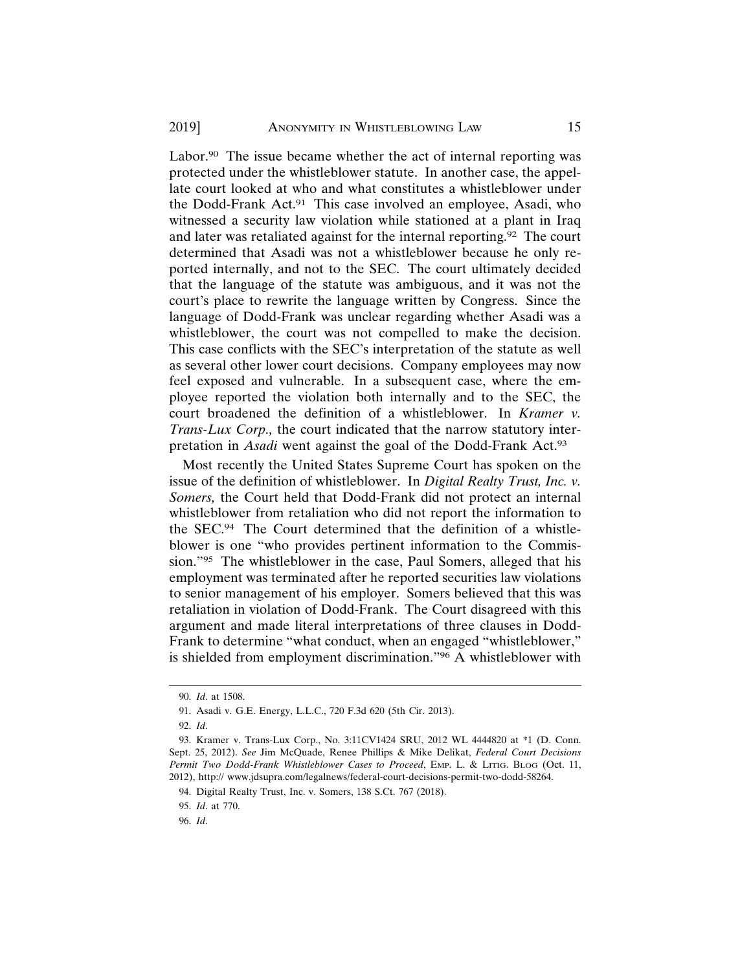Labor.<sup>90</sup> The issue became whether the act of internal reporting was protected under the whistleblower statute. In another case, the appellate court looked at who and what constitutes a whistleblower under the Dodd-Frank Act.91 This case involved an employee, Asadi, who witnessed a security law violation while stationed at a plant in Iraq and later was retaliated against for the internal reporting.92 The court determined that Asadi was not a whistleblower because he only reported internally, and not to the SEC. The court ultimately decided that the language of the statute was ambiguous, and it was not the court's place to rewrite the language written by Congress. Since the language of Dodd-Frank was unclear regarding whether Asadi was a whistleblower, the court was not compelled to make the decision. This case conflicts with the SEC's interpretation of the statute as well as several other lower court decisions. Company employees may now feel exposed and vulnerable. In a subsequent case, where the employee reported the violation both internally and to the SEC, the court broadened the definition of a whistleblower. In *Kramer v. Trans-Lux Corp.,* the court indicated that the narrow statutory interpretation in *Asadi* went against the goal of the Dodd-Frank Act.93

Most recently the United States Supreme Court has spoken on the issue of the definition of whistleblower. In *Digital Realty Trust, Inc. v. Somers,* the Court held that Dodd-Frank did not protect an internal whistleblower from retaliation who did not report the information to the SEC.94 The Court determined that the definition of a whistleblower is one "who provides pertinent information to the Commission."95 The whistleblower in the case, Paul Somers, alleged that his employment was terminated after he reported securities law violations to senior management of his employer. Somers believed that this was retaliation in violation of Dodd-Frank. The Court disagreed with this argument and made literal interpretations of three clauses in Dodd-Frank to determine "what conduct, when an engaged "whistleblower," is shielded from employment discrimination."96 A whistleblower with

<sup>90.</sup> *Id*. at 1508.

<sup>91.</sup> Asadi v. G.E. Energy, L.L.C., 720 F.3d 620 (5th Cir. 2013).

<sup>92.</sup> *Id*.

<sup>93.</sup> Kramer v. Trans-Lux Corp., No. 3:11CV1424 SRU, 2012 WL 4444820 at \*1 (D. Conn. Sept. 25, 2012). *See* Jim McQuade, Renee Phillips & Mike Delikat, *Federal Court Decisions Permit Two Dodd-Frank Whistleblower Cases to Proceed*, EMP. L. & LITIG. BLOG (Oct. 11, 2012), http:// www.jdsupra.com/legalnews/federal-court-decisions-permit-two-dodd-58264.

<sup>94.</sup> Digital Realty Trust, Inc. v. Somers, 138 S.Ct. 767 (2018).

<sup>95.</sup> *Id*. at 770.

<sup>96.</sup> *Id*.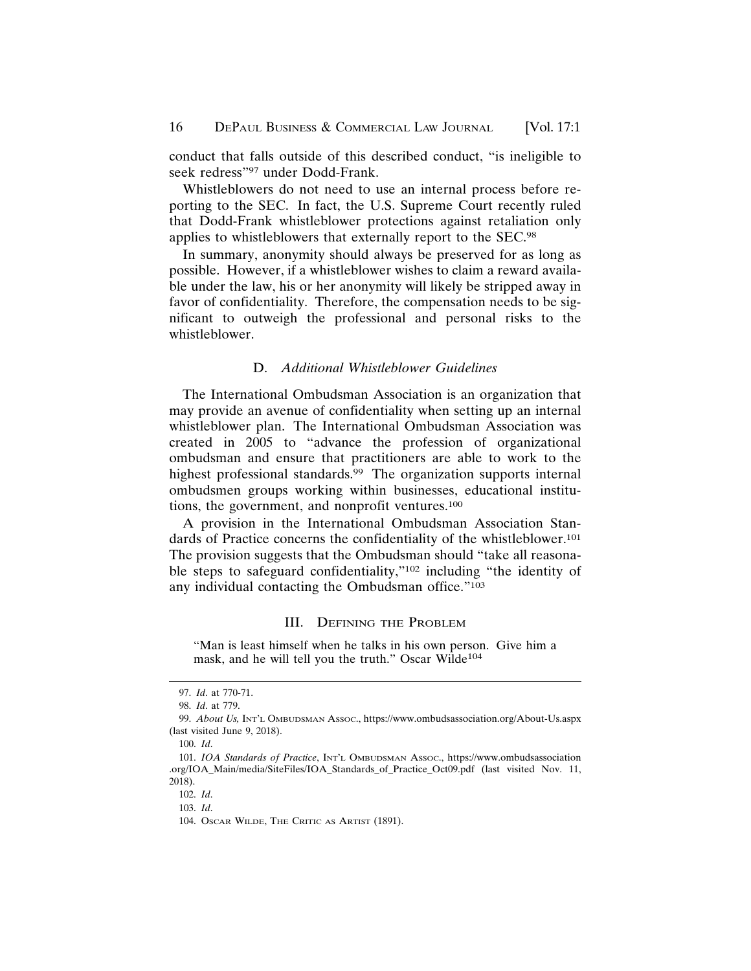conduct that falls outside of this described conduct, "is ineligible to seek redress"97 under Dodd-Frank.

Whistleblowers do not need to use an internal process before reporting to the SEC. In fact, the U.S. Supreme Court recently ruled that Dodd-Frank whistleblower protections against retaliation only applies to whistleblowers that externally report to the SEC.98

In summary, anonymity should always be preserved for as long as possible. However, if a whistleblower wishes to claim a reward available under the law, his or her anonymity will likely be stripped away in favor of confidentiality. Therefore, the compensation needs to be significant to outweigh the professional and personal risks to the whistleblower.

#### D. *Additional Whistleblower Guidelines*

The International Ombudsman Association is an organization that may provide an avenue of confidentiality when setting up an internal whistleblower plan. The International Ombudsman Association was created in 2005 to "advance the profession of organizational ombudsman and ensure that practitioners are able to work to the highest professional standards.<sup>99</sup> The organization supports internal ombudsmen groups working within businesses, educational institutions, the government, and nonprofit ventures.100

A provision in the International Ombudsman Association Standards of Practice concerns the confidentiality of the whistleblower.<sup>101</sup> The provision suggests that the Ombudsman should "take all reasonable steps to safeguard confidentiality,"102 including "the identity of any individual contacting the Ombudsman office."103

#### III. DEFINING THE PROBLEM

"Man is least himself when he talks in his own person. Give him a mask, and he will tell you the truth." Oscar Wilde<sup>104</sup>

<sup>97.</sup> *Id*. at 770-71.

<sup>98.</sup> *Id*. at 779.

<sup>99.</sup> *About Us,* INT'L OMBUDSMAN ASSOC., https://www.ombudsassociation.org/About-Us.aspx (last visited June 9, 2018).

<sup>100.</sup> *Id*.

<sup>101.</sup> *IOA Standards of Practice*, INT'L OMBUDSMAN ASSOC., https://www.ombudsassociation .org/IOA\_Main/media/SiteFiles/IOA\_Standards\_of\_Practice\_Oct09.pdf (last visited Nov. 11, 2018).

<sup>102.</sup> *Id*.

<sup>103.</sup> *Id*.

<sup>104.</sup> OSCAR WILDE, THE CRITIC AS ARTIST (1891).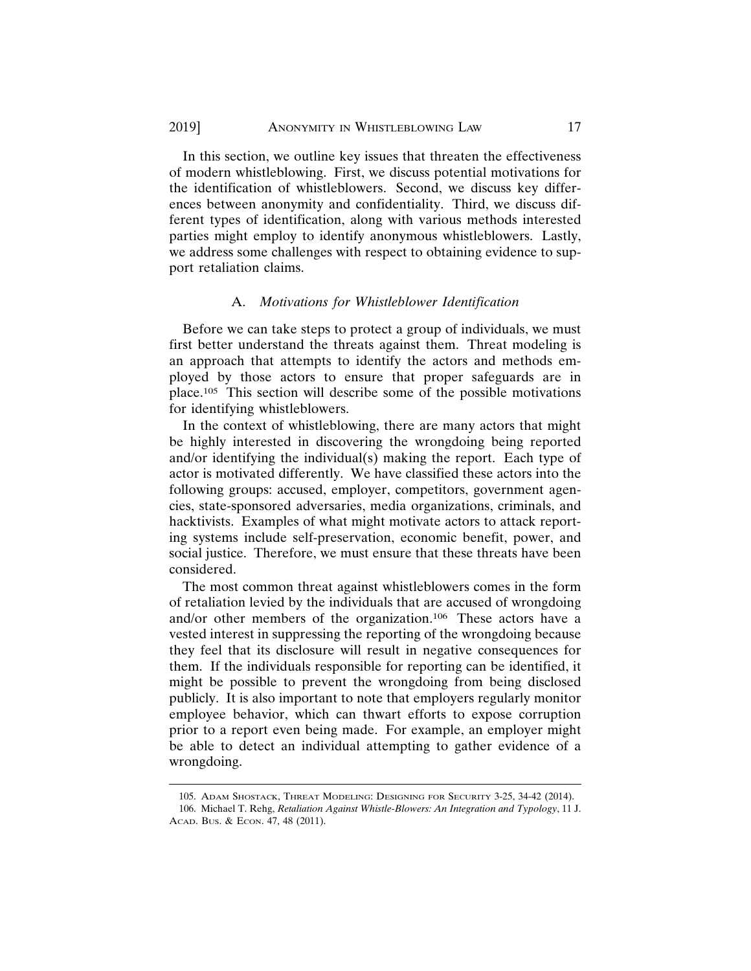In this section, we outline key issues that threaten the effectiveness of modern whistleblowing. First, we discuss potential motivations for the identification of whistleblowers. Second, we discuss key differences between anonymity and confidentiality. Third, we discuss different types of identification, along with various methods interested parties might employ to identify anonymous whistleblowers. Lastly, we address some challenges with respect to obtaining evidence to support retaliation claims.

# A. *Motivations for Whistleblower Identification*

Before we can take steps to protect a group of individuals, we must first better understand the threats against them. Threat modeling is an approach that attempts to identify the actors and methods employed by those actors to ensure that proper safeguards are in place.105 This section will describe some of the possible motivations for identifying whistleblowers.

In the context of whistleblowing, there are many actors that might be highly interested in discovering the wrongdoing being reported and/or identifying the individual(s) making the report. Each type of actor is motivated differently. We have classified these actors into the following groups: accused, employer, competitors, government agencies, state-sponsored adversaries, media organizations, criminals, and hacktivists. Examples of what might motivate actors to attack reporting systems include self-preservation, economic benefit, power, and social justice. Therefore, we must ensure that these threats have been considered.

The most common threat against whistleblowers comes in the form of retaliation levied by the individuals that are accused of wrongdoing and/or other members of the organization.106 These actors have a vested interest in suppressing the reporting of the wrongdoing because they feel that its disclosure will result in negative consequences for them. If the individuals responsible for reporting can be identified, it might be possible to prevent the wrongdoing from being disclosed publicly. It is also important to note that employers regularly monitor employee behavior, which can thwart efforts to expose corruption prior to a report even being made. For example, an employer might be able to detect an individual attempting to gather evidence of a wrongdoing.

<sup>105.</sup> ADAM SHOSTACK, THREAT MODELING: DESIGNING FOR SECURITY 3-25, 34-42 (2014). 106. Michael T. Rehg, *Retaliation Against Whistle-Blowers: An Integration and Typology*, 11 J. ACAD. BUS. & ECON. 47, 48 (2011).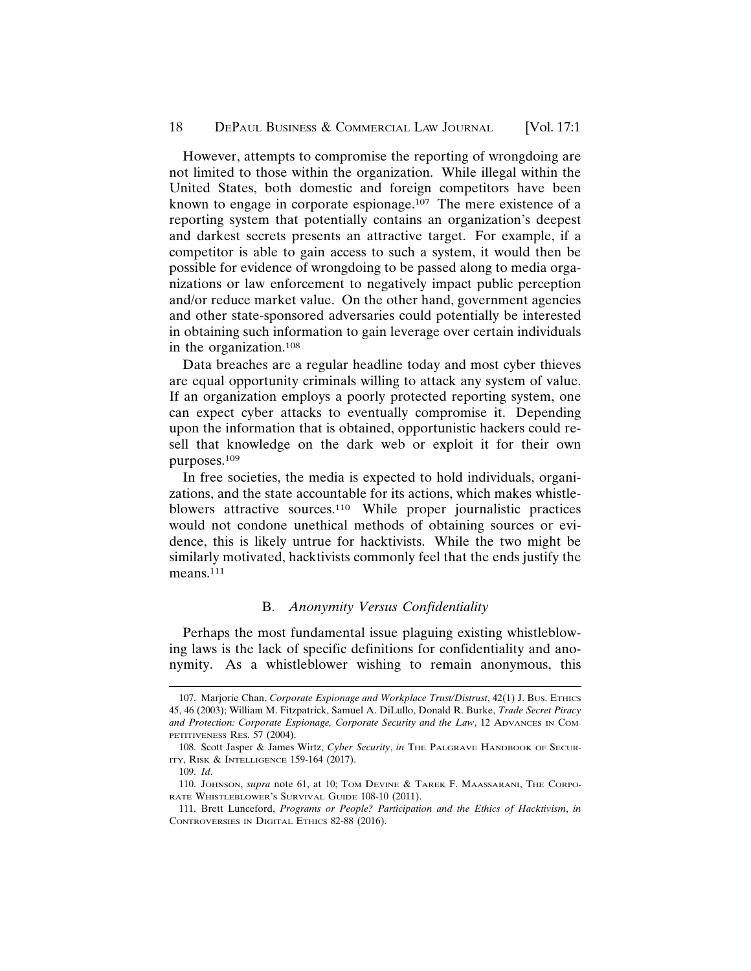#### 18 DEPAUL BUSINESS & COMMERCIAL LAW JOURNAL [Vol. 17:1]

However, attempts to compromise the reporting of wrongdoing are not limited to those within the organization. While illegal within the United States, both domestic and foreign competitors have been known to engage in corporate espionage.107 The mere existence of a reporting system that potentially contains an organization's deepest and darkest secrets presents an attractive target. For example, if a competitor is able to gain access to such a system, it would then be possible for evidence of wrongdoing to be passed along to media organizations or law enforcement to negatively impact public perception and/or reduce market value. On the other hand, government agencies and other state-sponsored adversaries could potentially be interested in obtaining such information to gain leverage over certain individuals in the organization.108

Data breaches are a regular headline today and most cyber thieves are equal opportunity criminals willing to attack any system of value. If an organization employs a poorly protected reporting system, one can expect cyber attacks to eventually compromise it. Depending upon the information that is obtained, opportunistic hackers could resell that knowledge on the dark web or exploit it for their own purposes.109

In free societies, the media is expected to hold individuals, organizations, and the state accountable for its actions, which makes whistleblowers attractive sources.<sup>110</sup> While proper journalistic practices would not condone unethical methods of obtaining sources or evidence, this is likely untrue for hacktivists. While the two might be similarly motivated, hacktivists commonly feel that the ends justify the means.<sup>111</sup>

# B. *Anonymity Versus Confidentiality*

Perhaps the most fundamental issue plaguing existing whistleblowing laws is the lack of specific definitions for confidentiality and anonymity. As a whistleblower wishing to remain anonymous, this

<sup>107.</sup> Marjorie Chan, *Corporate Espionage and Workplace Trust/Distrust*, 42(1) J. BUS. ETHICS 45, 46 (2003); William M. Fitzpatrick, Samuel A. DiLullo, Donald R. Burke, *Trade Secret Piracy and Protection: Corporate Espionage, Corporate Security and the Law*, 12 ADVANCES IN COM-PETITIVENESS RES. 57 (2004).

<sup>108.</sup> Scott Jasper & James Wirtz, *Cyber Security*, *in* THE PALGRAVE HANDBOOK OF SECUR-ITY, RISK & INTELLIGENCE 159-164 (2017).

<sup>109.</sup> *Id*.

<sup>110.</sup> JOHNSON, *supra* note 61, at 10; TOM DEVINE & TAREK F. MAASSARANI, THE CORPO-RATE WHISTLEBLOWER'S SURVIVAL GUIDE 108-10 (2011).

<sup>111.</sup> Brett Lunceford, *Programs or People? Participation and the Ethics of Hacktivism*, *in* CONTROVERSIES IN DIGITAL ETHICS 82-88 (2016).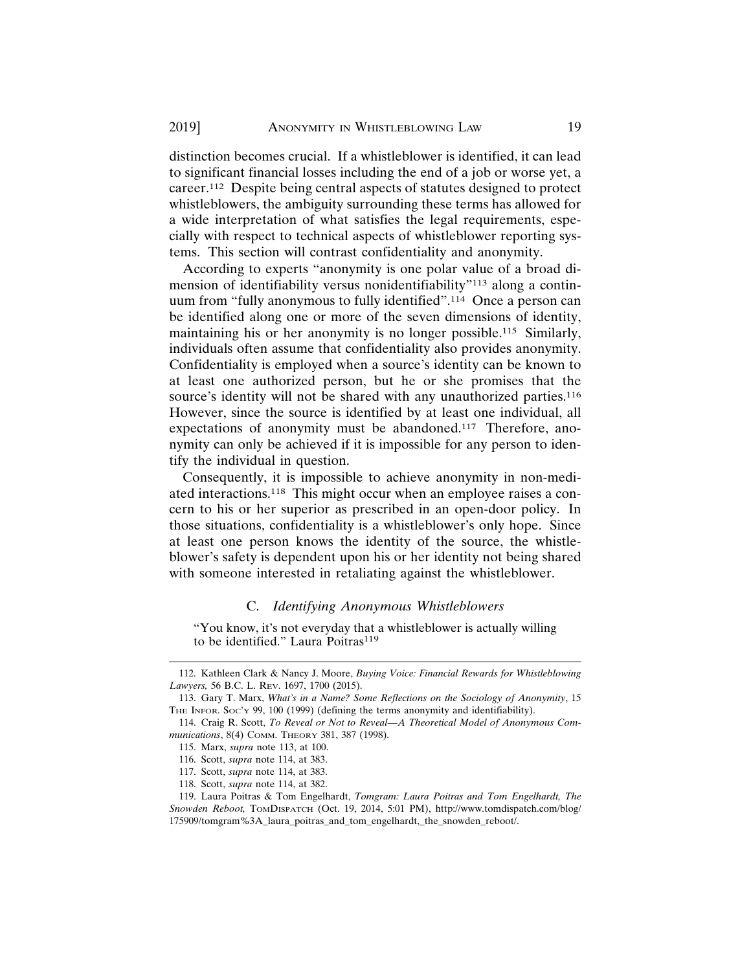distinction becomes crucial. If a whistleblower is identified, it can lead to significant financial losses including the end of a job or worse yet, a career.112 Despite being central aspects of statutes designed to protect whistleblowers, the ambiguity surrounding these terms has allowed for a wide interpretation of what satisfies the legal requirements, especially with respect to technical aspects of whistleblower reporting systems. This section will contrast confidentiality and anonymity.

According to experts "anonymity is one polar value of a broad dimension of identifiability versus nonidentifiability"113 along a continuum from "fully anonymous to fully identified".114 Once a person can be identified along one or more of the seven dimensions of identity, maintaining his or her anonymity is no longer possible.<sup>115</sup> Similarly, individuals often assume that confidentiality also provides anonymity. Confidentiality is employed when a source's identity can be known to at least one authorized person, but he or she promises that the source's identity will not be shared with any unauthorized parties.<sup>116</sup> However, since the source is identified by at least one individual, all expectations of anonymity must be abandoned.117 Therefore, anonymity can only be achieved if it is impossible for any person to identify the individual in question.

Consequently, it is impossible to achieve anonymity in non-mediated interactions.118 This might occur when an employee raises a concern to his or her superior as prescribed in an open-door policy. In those situations, confidentiality is a whistleblower's only hope. Since at least one person knows the identity of the source, the whistleblower's safety is dependent upon his or her identity not being shared with someone interested in retaliating against the whistleblower.

#### C. *Identifying Anonymous Whistleblowers*

"You know, it's not everyday that a whistleblower is actually willing to be identified." Laura Poitras<sup>119</sup>

<sup>112.</sup> Kathleen Clark & Nancy J. Moore, *Buying Voice: Financial Rewards for Whistleblowing Lawyers,* 56 B.C. L. REV. 1697, 1700 (2015).

<sup>113.</sup> Gary T. Marx, *What's in a Name? Some Reflections on the Sociology of Anonymity*, 15 THE INFOR. Soc'y 99, 100 (1999) (defining the terms anonymity and identifiability).

<sup>114.</sup> Craig R. Scott, *To Reveal or Not to Reveal—A Theoretical Model of Anonymous Communications*, 8(4) COMM. THEORY 381, 387 (1998).

<sup>115.</sup> Marx, *supra* note 113, at 100.

<sup>116.</sup> Scott, *supra* note 114, at 383.

<sup>117.</sup> Scott, *supra* note 114, at 383.

<sup>118.</sup> Scott, *supra* note 114, at 382.

<sup>119.</sup> Laura Poitras & Tom Engelhardt, *Tomgram: Laura Poitras and Tom Engelhardt, The Snowden Reboot,* TOMDISPATCH (Oct. 19, 2014, 5:01 PM), http://www.tomdispatch.com/blog/ 175909/tomgram%3A\_laura\_poitras\_and\_tom\_engelhardt,\_the\_snowden\_reboot/.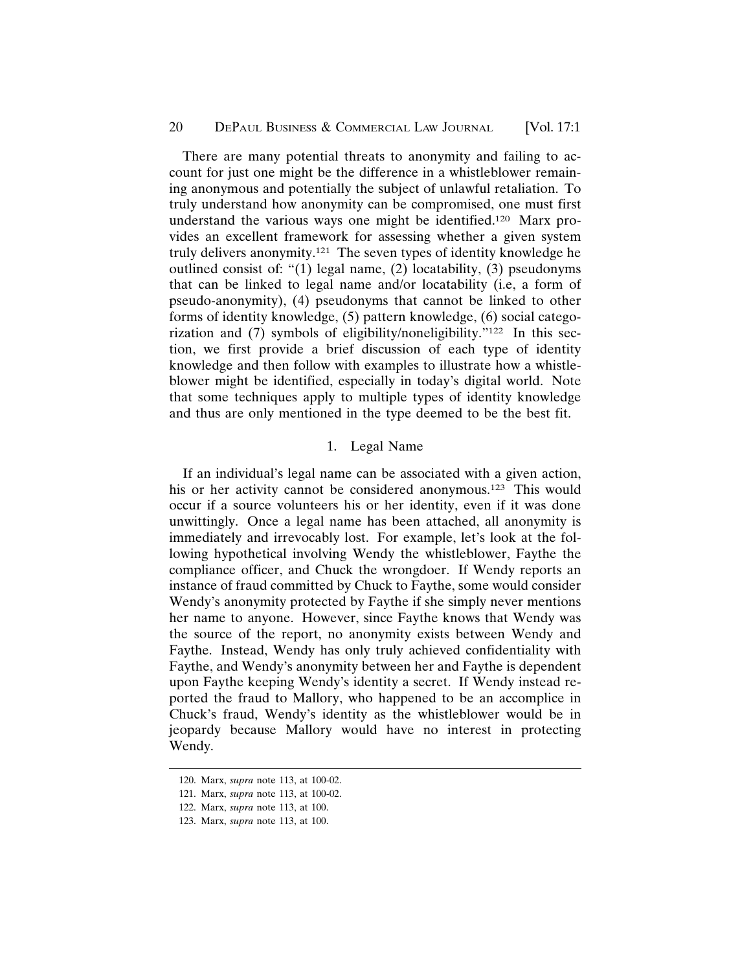#### 20 DEPAUL BUSINESS & COMMERCIAL LAW JOURNAL [Vol. 17:1]

There are many potential threats to anonymity and failing to account for just one might be the difference in a whistleblower remaining anonymous and potentially the subject of unlawful retaliation. To truly understand how anonymity can be compromised, one must first understand the various ways one might be identified.120 Marx provides an excellent framework for assessing whether a given system truly delivers anonymity.121 The seven types of identity knowledge he outlined consist of: "(1) legal name, (2) locatability, (3) pseudonyms that can be linked to legal name and/or locatability (i.e, a form of pseudo-anonymity), (4) pseudonyms that cannot be linked to other forms of identity knowledge, (5) pattern knowledge, (6) social categorization and (7) symbols of eligibility/noneligibility."122 In this section, we first provide a brief discussion of each type of identity knowledge and then follow with examples to illustrate how a whistleblower might be identified, especially in today's digital world. Note that some techniques apply to multiple types of identity knowledge and thus are only mentioned in the type deemed to be the best fit.

#### 1. Legal Name

If an individual's legal name can be associated with a given action, his or her activity cannot be considered anonymous.<sup>123</sup> This would occur if a source volunteers his or her identity, even if it was done unwittingly. Once a legal name has been attached, all anonymity is immediately and irrevocably lost. For example, let's look at the following hypothetical involving Wendy the whistleblower, Faythe the compliance officer, and Chuck the wrongdoer. If Wendy reports an instance of fraud committed by Chuck to Faythe, some would consider Wendy's anonymity protected by Faythe if she simply never mentions her name to anyone. However, since Faythe knows that Wendy was the source of the report, no anonymity exists between Wendy and Faythe. Instead, Wendy has only truly achieved confidentiality with Faythe, and Wendy's anonymity between her and Faythe is dependent upon Faythe keeping Wendy's identity a secret. If Wendy instead reported the fraud to Mallory, who happened to be an accomplice in Chuck's fraud, Wendy's identity as the whistleblower would be in jeopardy because Mallory would have no interest in protecting Wendy.

<sup>120.</sup> Marx, *supra* note 113, at 100-02.

<sup>121.</sup> Marx, *supra* note 113, at 100-02.

<sup>122.</sup> Marx, *supra* note 113, at 100.

<sup>123.</sup> Marx, *supra* note 113, at 100.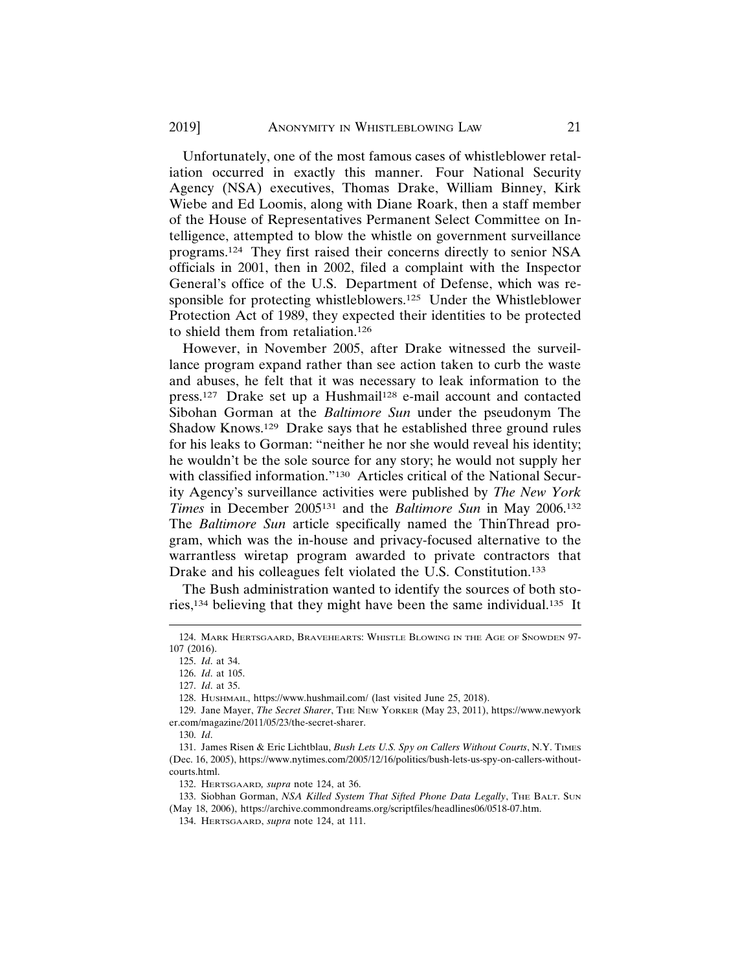Unfortunately, one of the most famous cases of whistleblower retaliation occurred in exactly this manner. Four National Security Agency (NSA) executives, Thomas Drake, William Binney, Kirk Wiebe and Ed Loomis, along with Diane Roark, then a staff member of the House of Representatives Permanent Select Committee on Intelligence, attempted to blow the whistle on government surveillance programs.124 They first raised their concerns directly to senior NSA officials in 2001, then in 2002, filed a complaint with the Inspector General's office of the U.S. Department of Defense, which was responsible for protecting whistleblowers.125 Under the Whistleblower Protection Act of 1989, they expected their identities to be protected to shield them from retaliation.126

However, in November 2005, after Drake witnessed the surveillance program expand rather than see action taken to curb the waste and abuses, he felt that it was necessary to leak information to the press.<sup>127</sup> Drake set up a Hushmail<sup>128</sup> e-mail account and contacted Sibohan Gorman at the *Baltimore Sun* under the pseudonym The Shadow Knows.129 Drake says that he established three ground rules for his leaks to Gorman: "neither he nor she would reveal his identity; he wouldn't be the sole source for any story; he would not supply her with classified information."<sup>130</sup> Articles critical of the National Security Agency's surveillance activities were published by *The New York Times* in December 2005131 and the *Baltimore Sun* in May 2006.132 The *Baltimore Sun* article specifically named the ThinThread program, which was the in-house and privacy-focused alternative to the warrantless wiretap program awarded to private contractors that Drake and his colleagues felt violated the U.S. Constitution.<sup>133</sup>

The Bush administration wanted to identify the sources of both stories,134 believing that they might have been the same individual.135 It

130. *Id*.

132. HERTSGAARD*, supra* note 124, at 36.

133. Siobhan Gorman, *NSA Killed System That Sifted Phone Data Legally*, THE BALT. SUN (May 18, 2006), https://archive.commondreams.org/scriptfiles/headlines06/0518-07.htm.

134. HERTSGAARD, *supra* note 124, at 111.

<sup>124.</sup> MARK HERTSGAARD, BRAVEHEARTS: WHISTLE BLOWING IN THE AGE OF SNOWDEN 97- 107 (2016).

<sup>125.</sup> *Id*. at 34.

<sup>126.</sup> *Id*. at 105.

<sup>127.</sup> *Id*. at 35.

<sup>128.</sup> HUSHMAIL, https://www.hushmail.com/ (last visited June 25, 2018).

<sup>129.</sup> Jane Mayer, *The Secret Sharer*, THE NEW YORKER (May 23, 2011), https://www.newyork er.com/magazine/2011/05/23/the-secret-sharer.

<sup>131.</sup> James Risen & Eric Lichtblau, *Bush Lets U.S. Spy on Callers Without Courts*, N.Y. TIMES (Dec. 16, 2005), https://www.nytimes.com/2005/12/16/politics/bush-lets-us-spy-on-callers-withoutcourts.html.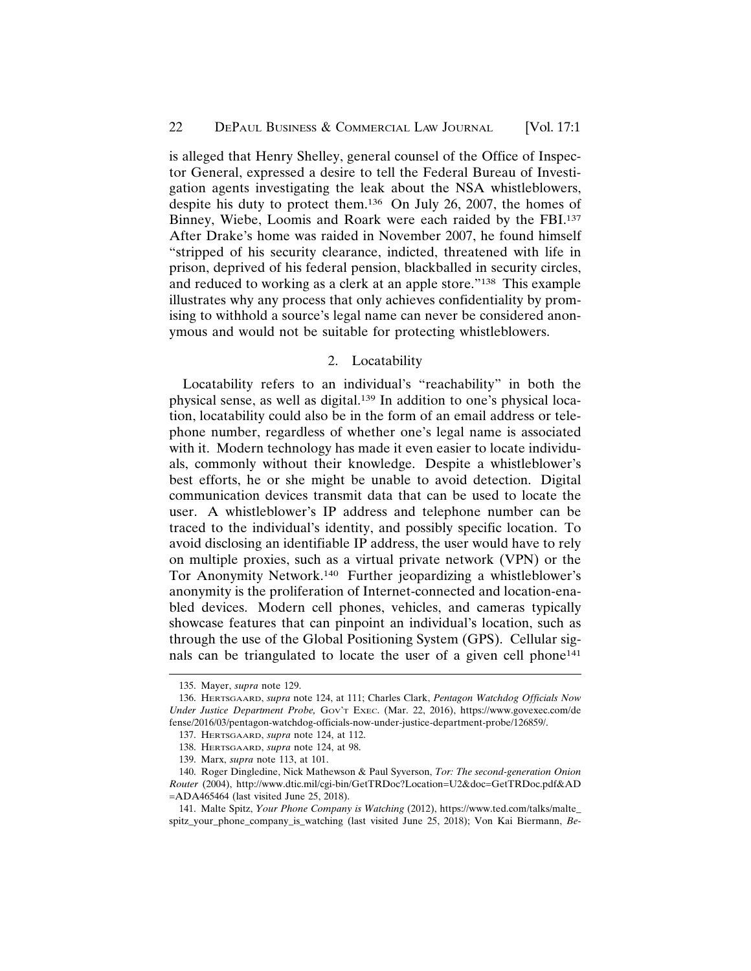is alleged that Henry Shelley, general counsel of the Office of Inspector General, expressed a desire to tell the Federal Bureau of Investigation agents investigating the leak about the NSA whistleblowers, despite his duty to protect them.136 On July 26, 2007, the homes of Binney, Wiebe, Loomis and Roark were each raided by the FBI.137 After Drake's home was raided in November 2007, he found himself "stripped of his security clearance, indicted, threatened with life in prison, deprived of his federal pension, blackballed in security circles, and reduced to working as a clerk at an apple store."138 This example illustrates why any process that only achieves confidentiality by promising to withhold a source's legal name can never be considered anonymous and would not be suitable for protecting whistleblowers.

#### 2. Locatability

Locatability refers to an individual's "reachability" in both the physical sense, as well as digital.139 In addition to one's physical location, locatability could also be in the form of an email address or telephone number, regardless of whether one's legal name is associated with it. Modern technology has made it even easier to locate individuals, commonly without their knowledge. Despite a whistleblower's best efforts, he or she might be unable to avoid detection. Digital communication devices transmit data that can be used to locate the user. A whistleblower's IP address and telephone number can be traced to the individual's identity, and possibly specific location. To avoid disclosing an identifiable IP address, the user would have to rely on multiple proxies, such as a virtual private network (VPN) or the Tor Anonymity Network.140 Further jeopardizing a whistleblower's anonymity is the proliferation of Internet-connected and location-enabled devices. Modern cell phones, vehicles, and cameras typically showcase features that can pinpoint an individual's location, such as through the use of the Global Positioning System (GPS). Cellular signals can be triangulated to locate the user of a given cell phone<sup>141</sup>

<sup>135.</sup> Mayer, *supra* note 129.

<sup>136.</sup> HERTSGAARD, *supra* note 124, at 111; Charles Clark, *Pentagon Watchdog Officials Now Under Justice Department Probe,* GOV'T EXEC. (Mar. 22, 2016), https://www.govexec.com/de fense/2016/03/pentagon-watchdog-officials-now-under-justice-department-probe/126859/.

<sup>137.</sup> HERTSGAARD, *supra* note 124, at 112.

<sup>138.</sup> HERTSGAARD, *supra* note 124, at 98.

<sup>139.</sup> Marx, *supra* note 113, at 101.

<sup>140.</sup> Roger Dingledine, Nick Mathewson & Paul Syverson, *Tor: The second-generation Onion Router* (2004), http://www.dtic.mil/cgi-bin/GetTRDoc?Location=U2&doc=GetTRDoc.pdf&AD =ADA465464 (last visited June 25, 2018).

<sup>141.</sup> Malte Spitz, *Your Phone Company is Watching* (2012), https://www.ted.com/talks/malte\_ spitz\_your\_phone\_company\_is\_watching (last visited June 25, 2018); Von Kai Biermann, *Be-*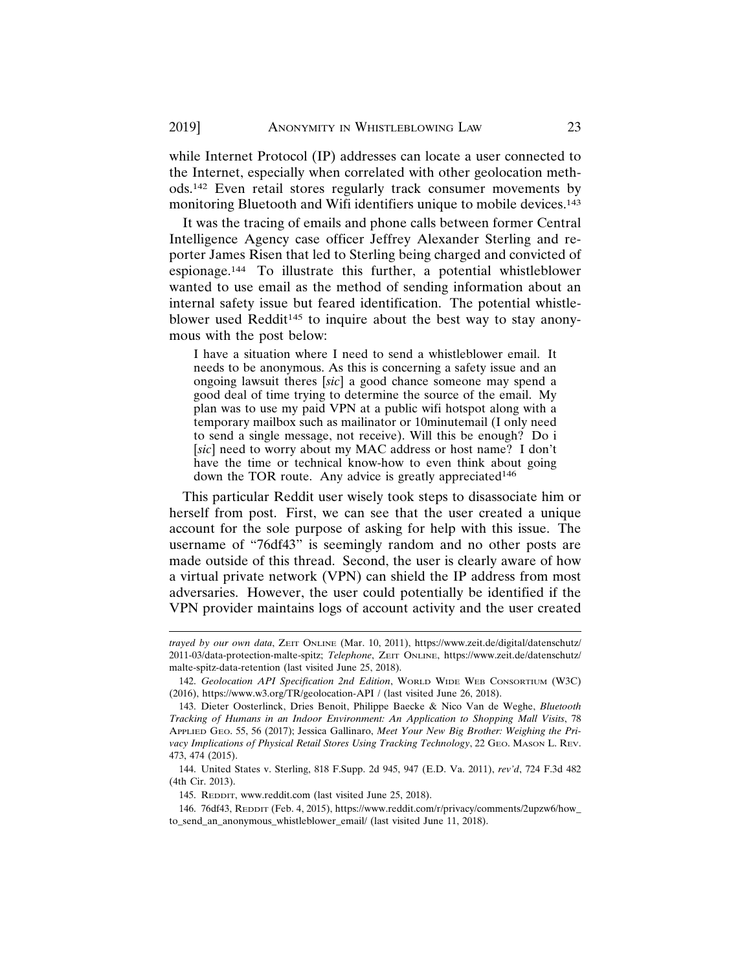while Internet Protocol (IP) addresses can locate a user connected to the Internet, especially when correlated with other geolocation methods.142 Even retail stores regularly track consumer movements by monitoring Bluetooth and Wifi identifiers unique to mobile devices.<sup>143</sup>

It was the tracing of emails and phone calls between former Central Intelligence Agency case officer Jeffrey Alexander Sterling and reporter James Risen that led to Sterling being charged and convicted of espionage.144 To illustrate this further, a potential whistleblower wanted to use email as the method of sending information about an internal safety issue but feared identification. The potential whistleblower used Reddit<sup>145</sup> to inquire about the best way to stay anonymous with the post below:

I have a situation where I need to send a whistleblower email. It needs to be anonymous. As this is concerning a safety issue and an ongoing lawsuit theres [*sic*] a good chance someone may spend a good deal of time trying to determine the source of the email. My plan was to use my paid VPN at a public wifi hotspot along with a temporary mailbox such as mailinator or 10minutemail (I only need to send a single message, not receive). Will this be enough? Do i [*sic*] need to worry about my MAC address or host name? I don't have the time or technical know-how to even think about going down the TOR route. Any advice is greatly appreciated<sup>146</sup>

This particular Reddit user wisely took steps to disassociate him or herself from post. First, we can see that the user created a unique account for the sole purpose of asking for help with this issue. The username of "76df43" is seemingly random and no other posts are made outside of this thread. Second, the user is clearly aware of how a virtual private network (VPN) can shield the IP address from most adversaries. However, the user could potentially be identified if the VPN provider maintains logs of account activity and the user created

145. REDDIT, www.reddit.com (last visited June 25, 2018).

*trayed by our own data*, ZEIT ONLINE (Mar. 10, 2011), https://www.zeit.de/digital/datenschutz/ 2011-03/data-protection-malte-spitz; *Telephone*, ZEIT ONLINE, https://www.zeit.de/datenschutz/ malte-spitz-data-retention (last visited June 25, 2018).

<sup>142.</sup> *Geolocation API Specification 2nd Edition*, WORLD WIDE WEB CONSORTIUM (W3C) (2016), https://www.w3.org/TR/geolocation-API / (last visited June 26, 2018).

<sup>143.</sup> Dieter Oosterlinck, Dries Benoit, Philippe Baecke & Nico Van de Weghe, *Bluetooth Tracking of Humans in an Indoor Environment: An Application to Shopping Mall Visits*, 78 APPLIED GEO. 55, 56 (2017); Jessica Gallinaro, *Meet Your New Big Brother: Weighing the Privacy Implications of Physical Retail Stores Using Tracking Technology*, 22 GEO. MASON L. REV. 473, 474 (2015).

<sup>144.</sup> United States v. Sterling, 818 F.Supp. 2d 945, 947 (E.D. Va. 2011), *rev'd*, 724 F.3d 482 (4th Cir. 2013).

<sup>146. 76</sup>df43, REDDIT (Feb. 4, 2015), https://www.reddit.com/r/privacy/comments/2upzw6/how\_ to\_send\_an\_anonymous\_whistleblower\_email/ (last visited June 11, 2018).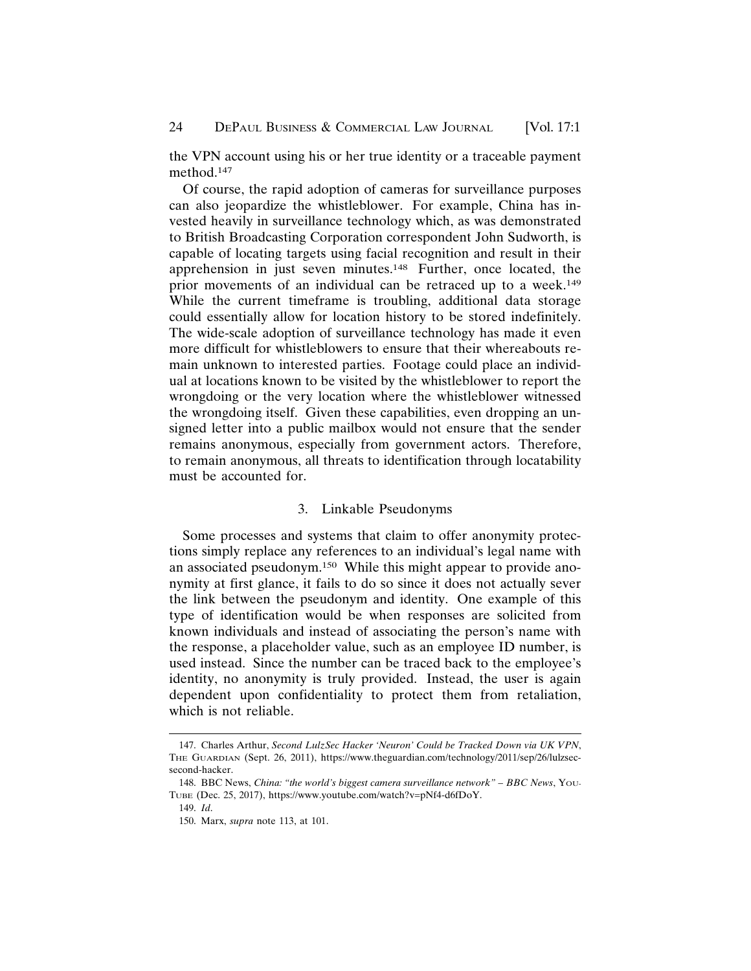the VPN account using his or her true identity or a traceable payment method.147

Of course, the rapid adoption of cameras for surveillance purposes can also jeopardize the whistleblower. For example, China has invested heavily in surveillance technology which, as was demonstrated to British Broadcasting Corporation correspondent John Sudworth, is capable of locating targets using facial recognition and result in their apprehension in just seven minutes.148 Further, once located, the prior movements of an individual can be retraced up to a week.<sup>149</sup> While the current timeframe is troubling, additional data storage could essentially allow for location history to be stored indefinitely. The wide-scale adoption of surveillance technology has made it even more difficult for whistleblowers to ensure that their whereabouts remain unknown to interested parties. Footage could place an individual at locations known to be visited by the whistleblower to report the wrongdoing or the very location where the whistleblower witnessed the wrongdoing itself. Given these capabilities, even dropping an unsigned letter into a public mailbox would not ensure that the sender remains anonymous, especially from government actors. Therefore, to remain anonymous, all threats to identification through locatability must be accounted for.

#### 3. Linkable Pseudonyms

Some processes and systems that claim to offer anonymity protections simply replace any references to an individual's legal name with an associated pseudonym.150 While this might appear to provide anonymity at first glance, it fails to do so since it does not actually sever the link between the pseudonym and identity. One example of this type of identification would be when responses are solicited from known individuals and instead of associating the person's name with the response, a placeholder value, such as an employee ID number, is used instead. Since the number can be traced back to the employee's identity, no anonymity is truly provided. Instead, the user is again dependent upon confidentiality to protect them from retaliation, which is not reliable.

<sup>147.</sup> Charles Arthur, *Second LulzSec Hacker 'Neuron' Could be Tracked Down via UK VPN*, THE GUARDIAN (Sept. 26, 2011), https://www.theguardian.com/technology/2011/sep/26/lulzsecsecond-hacker.

<sup>148.</sup> BBC News, *China: "the world's biggest camera surveillance network" – BBC News*, YOU-TUBE (Dec. 25, 2017), https://www.youtube.com/watch?v=pNf4-d6fDoY.

<sup>149.</sup> *Id*.

<sup>150.</sup> Marx, *supra* note 113, at 101.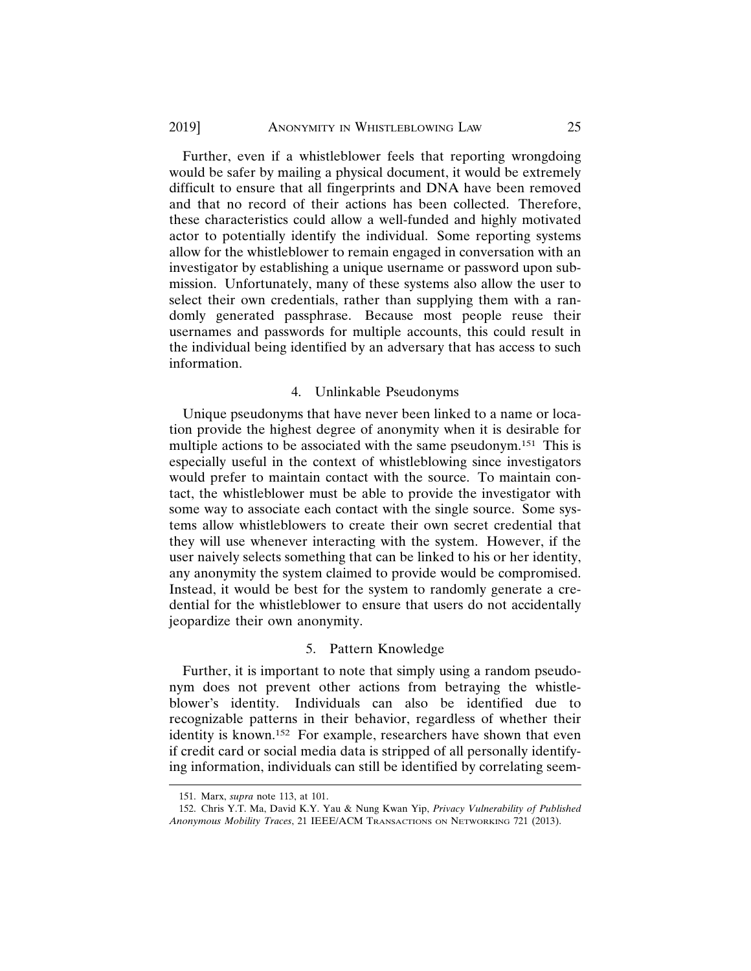Further, even if a whistleblower feels that reporting wrongdoing would be safer by mailing a physical document, it would be extremely difficult to ensure that all fingerprints and DNA have been removed and that no record of their actions has been collected. Therefore, these characteristics could allow a well-funded and highly motivated actor to potentially identify the individual. Some reporting systems allow for the whistleblower to remain engaged in conversation with an investigator by establishing a unique username or password upon submission. Unfortunately, many of these systems also allow the user to select their own credentials, rather than supplying them with a randomly generated passphrase. Because most people reuse their usernames and passwords for multiple accounts, this could result in the individual being identified by an adversary that has access to such information.

#### 4. Unlinkable Pseudonyms

Unique pseudonyms that have never been linked to a name or location provide the highest degree of anonymity when it is desirable for multiple actions to be associated with the same pseudonym.151 This is especially useful in the context of whistleblowing since investigators would prefer to maintain contact with the source. To maintain contact, the whistleblower must be able to provide the investigator with some way to associate each contact with the single source. Some systems allow whistleblowers to create their own secret credential that they will use whenever interacting with the system. However, if the user naively selects something that can be linked to his or her identity, any anonymity the system claimed to provide would be compromised. Instead, it would be best for the system to randomly generate a credential for the whistleblower to ensure that users do not accidentally jeopardize their own anonymity.

#### 5. Pattern Knowledge

Further, it is important to note that simply using a random pseudonym does not prevent other actions from betraying the whistleblower's identity. Individuals can also be identified due to recognizable patterns in their behavior, regardless of whether their identity is known.<sup>152</sup> For example, researchers have shown that even if credit card or social media data is stripped of all personally identifying information, individuals can still be identified by correlating seem-

<sup>151.</sup> Marx, *supra* note 113, at 101.

<sup>152.</sup> Chris Y.T. Ma, David K.Y. Yau & Nung Kwan Yip, *Privacy Vulnerability of Published Anonymous Mobility Traces*, 21 IEEE/ACM TRANSACTIONS ON NETWORKING 721 (2013).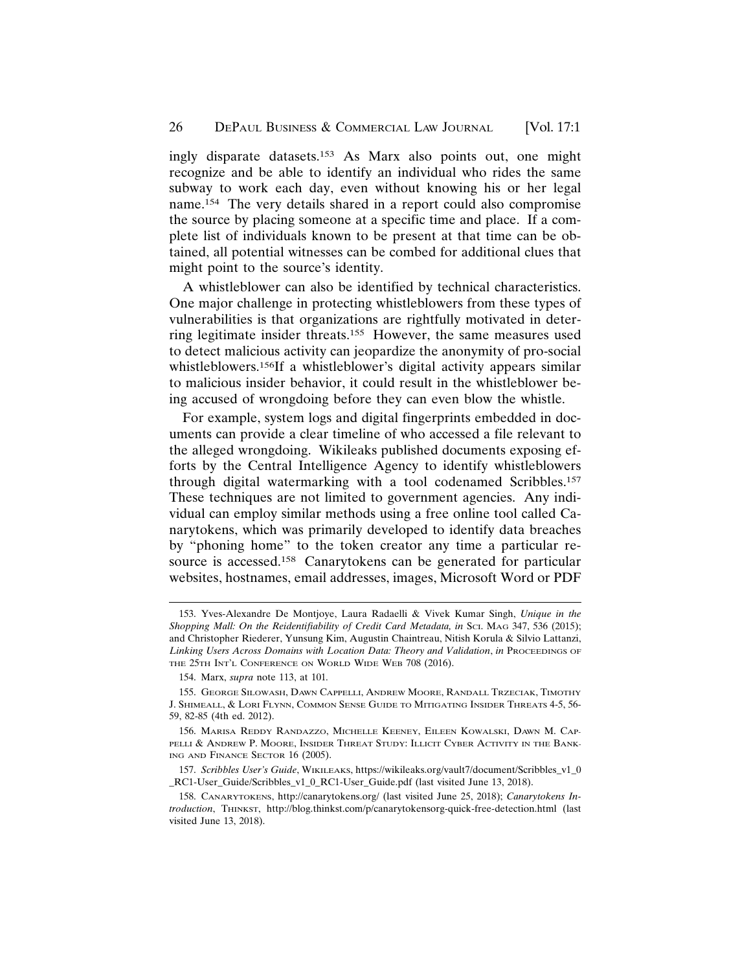ingly disparate datasets.153 As Marx also points out, one might recognize and be able to identify an individual who rides the same subway to work each day, even without knowing his or her legal name.154 The very details shared in a report could also compromise the source by placing someone at a specific time and place. If a complete list of individuals known to be present at that time can be obtained, all potential witnesses can be combed for additional clues that might point to the source's identity.

A whistleblower can also be identified by technical characteristics. One major challenge in protecting whistleblowers from these types of vulnerabilities is that organizations are rightfully motivated in deterring legitimate insider threats.155 However, the same measures used to detect malicious activity can jeopardize the anonymity of pro-social whistleblowers.156If a whistleblower's digital activity appears similar to malicious insider behavior, it could result in the whistleblower being accused of wrongdoing before they can even blow the whistle.

For example, system logs and digital fingerprints embedded in documents can provide a clear timeline of who accessed a file relevant to the alleged wrongdoing. Wikileaks published documents exposing efforts by the Central Intelligence Agency to identify whistleblowers through digital watermarking with a tool codenamed Scribbles.157 These techniques are not limited to government agencies. Any individual can employ similar methods using a free online tool called Canarytokens, which was primarily developed to identify data breaches by "phoning home" to the token creator any time a particular resource is accessed.158 Canarytokens can be generated for particular websites, hostnames, email addresses, images, Microsoft Word or PDF

<sup>153.</sup> Yves-Alexandre De Montjoye, Laura Radaelli & Vivek Kumar Singh, *Unique in the* Shopping Mall: On the Reidentifiability of Credit Card Metadata, in *Sci. MAG* 347, 536 (2015); and Christopher Riederer, Yunsung Kim, Augustin Chaintreau, Nitish Korula & Silvio Lattanzi, Linking Users Across Domains with Location Data: Theory and Validation, in PROCEEDINGS OF THE 25TH INT'L CONFERENCE ON WORLD WIDE WEB 708 (2016).

<sup>154.</sup> Marx, *supra* note 113, at 101*.*

<sup>155.</sup> GEORGE SILOWASH, DAWN CAPPELLI, ANDREW MOORE, RANDALL TRZECIAK, TIMOTHY J. SHIMEALL, & LORI FLYNN, COMMON SENSE GUIDE TO MITIGATING INSIDER THREATS 4-5, 56- 59, 82-85 (4th ed. 2012).

<sup>156.</sup> MARISA REDDY RANDAZZO, MICHELLE KEENEY, EILEEN KOWALSKI, DAWN M. CAP-PELLI & ANDREW P. MOORE, INSIDER THREAT STUDY: ILLICIT CYBER ACTIVITY IN THE BANK-ING AND FINANCE SECTOR 16 (2005).

<sup>157.</sup> *Scribbles User's Guide*, WIKILEAKS, https://wikileaks.org/vault7/document/Scribbles\_v1\_0 \_RC1-User\_Guide/Scribbles\_v1\_0\_RC1-User\_Guide.pdf (last visited June 13, 2018).

<sup>158.</sup> CANARYTOKENS, http://canarytokens.org/ (last visited June 25, 2018); *Canarytokens Introduction*, THINKST, http://blog.thinkst.com/p/canarytokensorg-quick-free-detection.html (last visited June 13, 2018).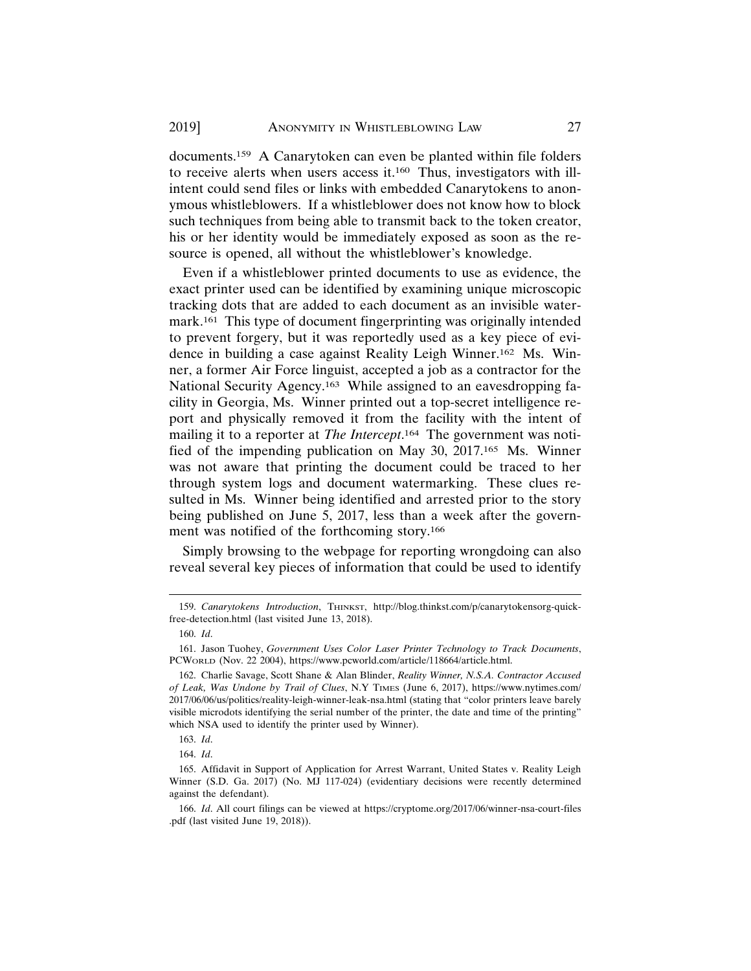documents.159 A Canarytoken can even be planted within file folders to receive alerts when users access it.160 Thus, investigators with illintent could send files or links with embedded Canarytokens to anonymous whistleblowers. If a whistleblower does not know how to block such techniques from being able to transmit back to the token creator, his or her identity would be immediately exposed as soon as the resource is opened, all without the whistleblower's knowledge.

Even if a whistleblower printed documents to use as evidence, the exact printer used can be identified by examining unique microscopic tracking dots that are added to each document as an invisible watermark.161 This type of document fingerprinting was originally intended to prevent forgery, but it was reportedly used as a key piece of evidence in building a case against Reality Leigh Winner.162 Ms. Winner, a former Air Force linguist, accepted a job as a contractor for the National Security Agency.163 While assigned to an eavesdropping facility in Georgia, Ms. Winner printed out a top-secret intelligence report and physically removed it from the facility with the intent of mailing it to a reporter at *The Intercept*. 164 The government was notified of the impending publication on May 30, 2017.165 Ms. Winner was not aware that printing the document could be traced to her through system logs and document watermarking. These clues resulted in Ms. Winner being identified and arrested prior to the story being published on June 5, 2017, less than a week after the government was notified of the forthcoming story.166

Simply browsing to the webpage for reporting wrongdoing can also reveal several key pieces of information that could be used to identify

<sup>159.</sup> *Canarytokens Introduction*, THINKST, http://blog.thinkst.com/p/canarytokensorg-quickfree-detection.html (last visited June 13, 2018).

<sup>160.</sup> *Id*.

<sup>161.</sup> Jason Tuohey, *Government Uses Color Laser Printer Technology to Track Documents*, PCWORLD (Nov. 22 2004), https://www.pcworld.com/article/118664/article.html.

<sup>162.</sup> Charlie Savage, Scott Shane & Alan Blinder, *Reality Winner, N.S.A. Contractor Accused of Leak, Was Undone by Trail of Clues*, N.Y TIMES (June 6, 2017), https://www.nytimes.com/ 2017/06/06/us/politics/reality-leigh-winner-leak-nsa.html (stating that "color printers leave barely visible microdots identifying the serial number of the printer, the date and time of the printing" which NSA used to identify the printer used by Winner).

<sup>163.</sup> *Id*.

<sup>164.</sup> *Id*.

<sup>165.</sup> Affidavit in Support of Application for Arrest Warrant, United States v. Reality Leigh Winner (S.D. Ga. 2017) (No. MJ 117-024) (evidentiary decisions were recently determined against the defendant).

<sup>166.</sup> *Id*. All court filings can be viewed at https://cryptome.org/2017/06/winner-nsa-court-files .pdf (last visited June 19, 2018)).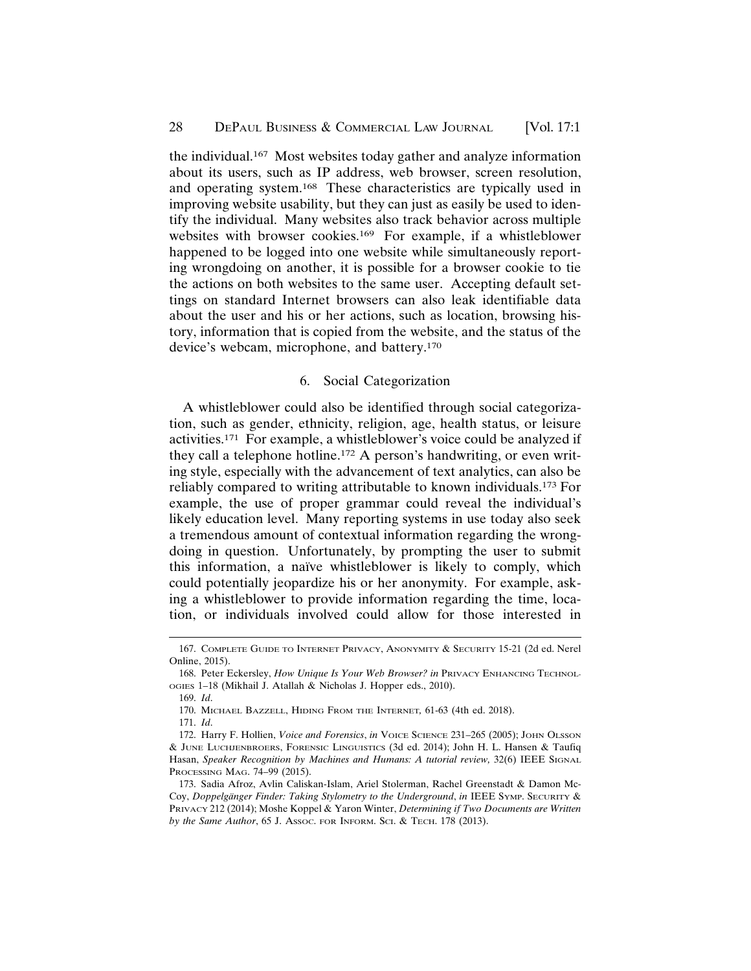the individual.167 Most websites today gather and analyze information about its users, such as IP address, web browser, screen resolution, and operating system.168 These characteristics are typically used in improving website usability, but they can just as easily be used to identify the individual. Many websites also track behavior across multiple websites with browser cookies.169 For example, if a whistleblower happened to be logged into one website while simultaneously reporting wrongdoing on another, it is possible for a browser cookie to tie the actions on both websites to the same user. Accepting default settings on standard Internet browsers can also leak identifiable data about the user and his or her actions, such as location, browsing history, information that is copied from the website, and the status of the device's webcam, microphone, and battery.170

### 6. Social Categorization

A whistleblower could also be identified through social categorization, such as gender, ethnicity, religion, age, health status, or leisure activities.171 For example, a whistleblower's voice could be analyzed if they call a telephone hotline.172 A person's handwriting, or even writing style, especially with the advancement of text analytics, can also be reliably compared to writing attributable to known individuals.173 For example, the use of proper grammar could reveal the individual's likely education level. Many reporting systems in use today also seek a tremendous amount of contextual information regarding the wrongdoing in question. Unfortunately, by prompting the user to submit this information, a naïve whistleblower is likely to comply, which could potentially jeopardize his or her anonymity. For example, asking a whistleblower to provide information regarding the time, location, or individuals involved could allow for those interested in

<sup>167.</sup> COMPLETE GUIDE TO INTERNET PRIVACY, ANONYMITY & SECURITY 15-21 (2d ed. Nerel Online, 2015).

<sup>168.</sup> Peter Eckersley, *How Unique Is Your Web Browser? in* PRIVACY ENHANCING TECHNOL-OGIES 1–18 (Mikhail J. Atallah & Nicholas J. Hopper eds., 2010).

<sup>169.</sup> *Id*.

<sup>170.</sup> MICHAEL BAZZELL, HIDING FROM THE INTERNET*,* 61-63 (4th ed. 2018).

<sup>171.</sup> *Id*.

<sup>172.</sup> Harry F. Hollien, *Voice and Forensics*, *in* VOICE SCIENCE 231–265 (2005); JOHN OLSSON & JUNE LUCHJENBROERS, FORENSIC LINGUISTICS (3d ed. 2014); John H. L. Hansen & Taufiq Hasan, *Speaker Recognition by Machines and Humans: A tutorial review,* 32(6) IEEE SIGNAL PROCESSING MAG. 74–99 (2015).

<sup>173.</sup> Sadia Afroz, Avlin Caliskan-Islam, Ariel Stolerman, Rachel Greenstadt & Damon Mc-Coy, *Doppelg¨anger Finder: Taking Stylometry to the Underground*, *in* IEEE SYMP. SECURITY & PRIVACY 212 (2014); Moshe Koppel & Yaron Winter, *Determining if Two Documents are Written by the Same Author*, 65 J. ASSOC. FOR INFORM. SCI. & TECH. 178 (2013).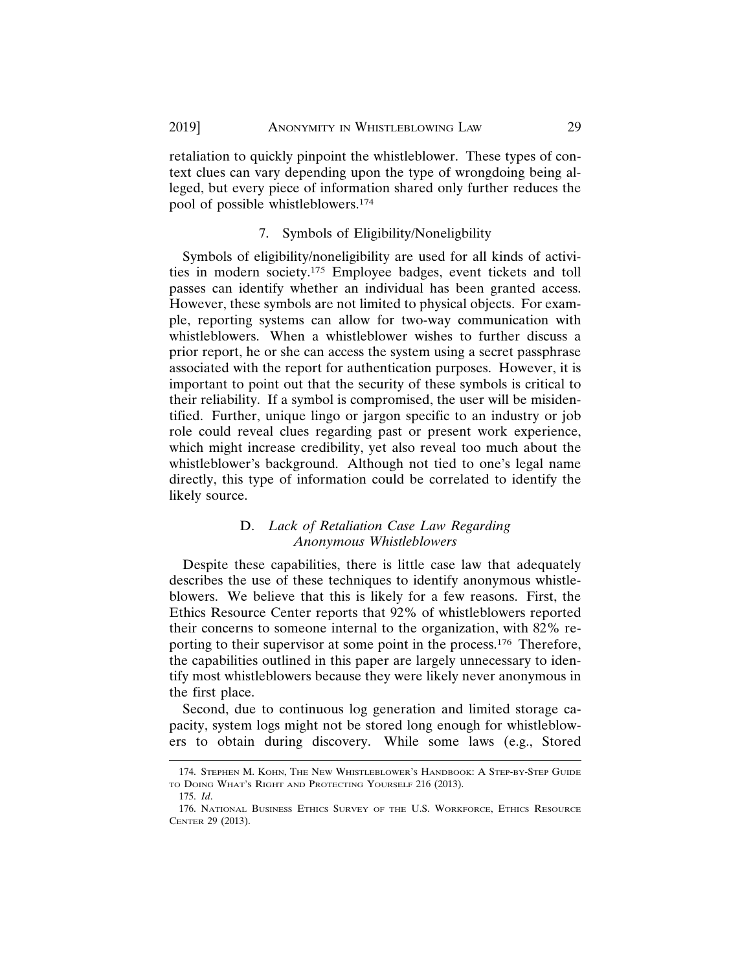retaliation to quickly pinpoint the whistleblower. These types of context clues can vary depending upon the type of wrongdoing being alleged, but every piece of information shared only further reduces the pool of possible whistleblowers.174

#### 7. Symbols of Eligibility/Noneligbility

Symbols of eligibility/noneligibility are used for all kinds of activities in modern society.175 Employee badges, event tickets and toll passes can identify whether an individual has been granted access. However, these symbols are not limited to physical objects. For example, reporting systems can allow for two-way communication with whistleblowers. When a whistleblower wishes to further discuss a prior report, he or she can access the system using a secret passphrase associated with the report for authentication purposes. However, it is important to point out that the security of these symbols is critical to their reliability. If a symbol is compromised, the user will be misidentified. Further, unique lingo or jargon specific to an industry or job role could reveal clues regarding past or present work experience, which might increase credibility, yet also reveal too much about the whistleblower's background. Although not tied to one's legal name directly, this type of information could be correlated to identify the likely source.

# D. *Lack of Retaliation Case Law Regarding Anonymous Whistleblowers*

Despite these capabilities, there is little case law that adequately describes the use of these techniques to identify anonymous whistleblowers. We believe that this is likely for a few reasons. First, the Ethics Resource Center reports that 92% of whistleblowers reported their concerns to someone internal to the organization, with 82% reporting to their supervisor at some point in the process.176 Therefore, the capabilities outlined in this paper are largely unnecessary to identify most whistleblowers because they were likely never anonymous in the first place.

Second, due to continuous log generation and limited storage capacity, system logs might not be stored long enough for whistleblowers to obtain during discovery. While some laws (e.g., Stored

<sup>174.</sup> STEPHEN M. KOHN, THE NEW WHISTLEBLOWER'S HANDBOOK: A STEP-BY-STEP GUIDE TO DOING WHAT'S RIGHT AND PROTECTING YOURSELF 216 (2013).

<sup>175.</sup> *Id*.

<sup>176.</sup> NATIONAL BUSINESS ETHICS SURVEY OF THE U.S. WORKFORCE, ETHICS RESOURCE CENTER 29 (2013).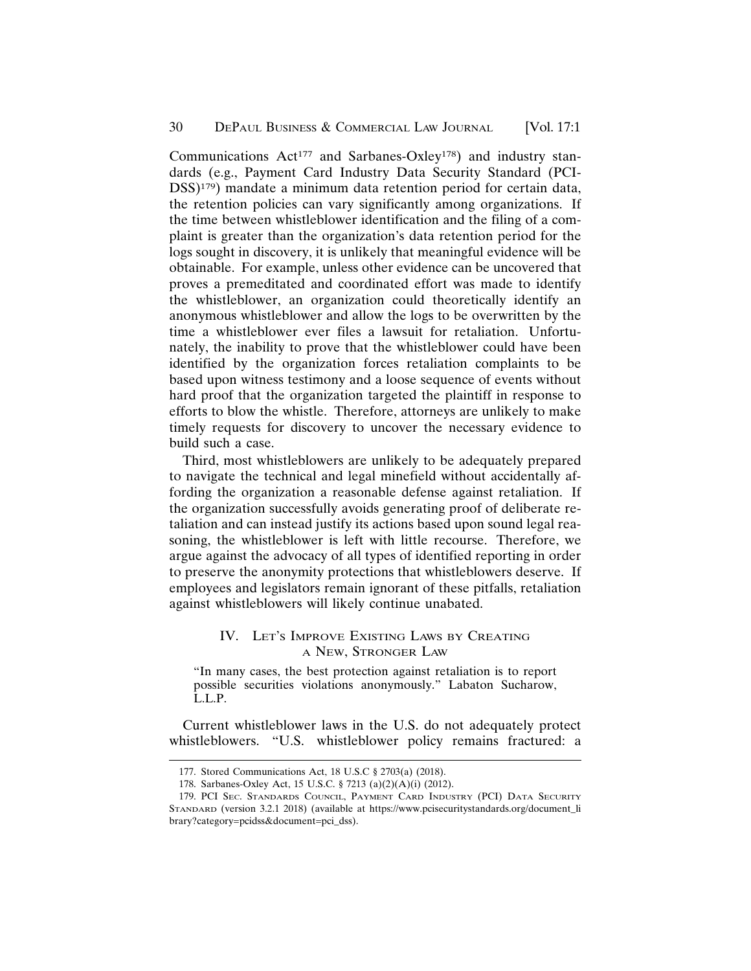Communications  $Act^{177}$  and Sarbanes-Oxley<sup>178</sup>) and industry standards (e.g., Payment Card Industry Data Security Standard (PCI-DSS)179) mandate a minimum data retention period for certain data, the retention policies can vary significantly among organizations. If the time between whistleblower identification and the filing of a complaint is greater than the organization's data retention period for the logs sought in discovery, it is unlikely that meaningful evidence will be obtainable. For example, unless other evidence can be uncovered that proves a premeditated and coordinated effort was made to identify the whistleblower, an organization could theoretically identify an anonymous whistleblower and allow the logs to be overwritten by the time a whistleblower ever files a lawsuit for retaliation. Unfortunately, the inability to prove that the whistleblower could have been identified by the organization forces retaliation complaints to be based upon witness testimony and a loose sequence of events without hard proof that the organization targeted the plaintiff in response to efforts to blow the whistle. Therefore, attorneys are unlikely to make timely requests for discovery to uncover the necessary evidence to build such a case.

Third, most whistleblowers are unlikely to be adequately prepared to navigate the technical and legal minefield without accidentally affording the organization a reasonable defense against retaliation. If the organization successfully avoids generating proof of deliberate retaliation and can instead justify its actions based upon sound legal reasoning, the whistleblower is left with little recourse. Therefore, we argue against the advocacy of all types of identified reporting in order to preserve the anonymity protections that whistleblowers deserve. If employees and legislators remain ignorant of these pitfalls, retaliation against whistleblowers will likely continue unabated.

# IV. LET'S IMPROVE EXISTING LAWS BY CREATING A NEW, STRONGER LAW

"In many cases, the best protection against retaliation is to report possible securities violations anonymously." Labaton Sucharow, L.L.P.

Current whistleblower laws in the U.S. do not adequately protect whistleblowers. "U.S. whistleblower policy remains fractured: a

<sup>177.</sup> Stored Communications Act, 18 U.S.C § 2703(a) (2018).

<sup>178.</sup> Sarbanes-Oxley Act, 15 U.S.C. § 7213 (a)(2)(A)(i) (2012).

<sup>179.</sup> PCI SEC. STANDARDS COUNCIL, PAYMENT CARD INDUSTRY (PCI) DATA SECURITY STANDARD (version 3.2.1 2018) (available at https://www.pcisecuritystandards.org/document\_li brary?category=pcidss&document=pci\_dss).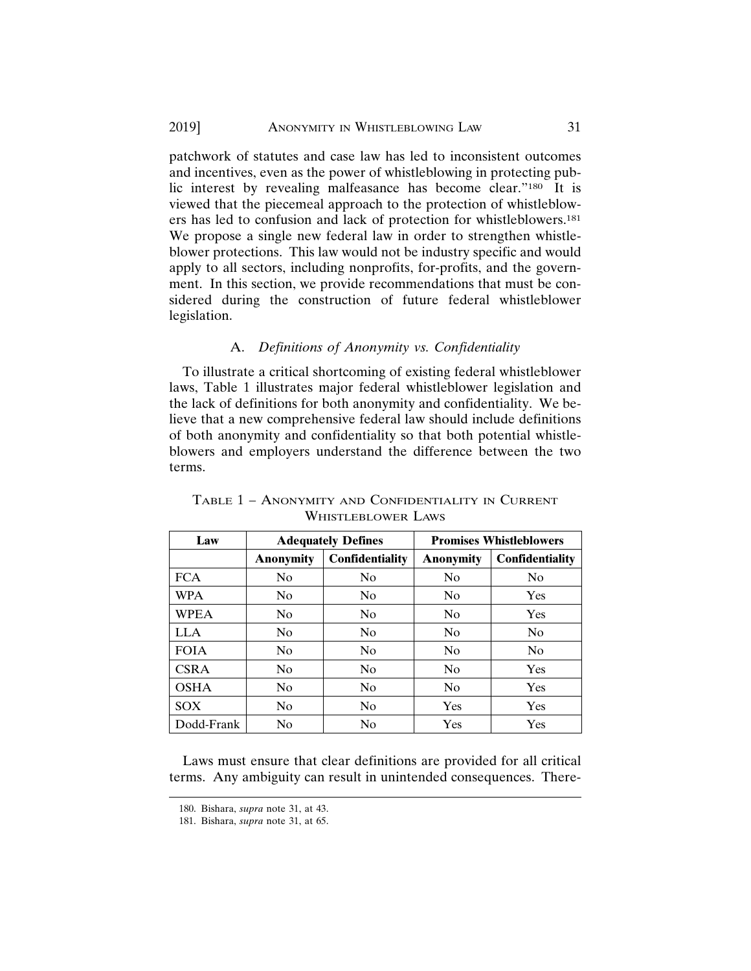patchwork of statutes and case law has led to inconsistent outcomes and incentives, even as the power of whistleblowing in protecting public interest by revealing malfeasance has become clear."180 It is viewed that the piecemeal approach to the protection of whistleblowers has led to confusion and lack of protection for whistleblowers.181 We propose a single new federal law in order to strengthen whistleblower protections. This law would not be industry specific and would apply to all sectors, including nonprofits, for-profits, and the government. In this section, we provide recommendations that must be considered during the construction of future federal whistleblower legislation.

# A. *Definitions of Anonymity vs. Confidentiality*

To illustrate a critical shortcoming of existing federal whistleblower laws, Table 1 illustrates major federal whistleblower legislation and the lack of definitions for both anonymity and confidentiality. We believe that a new comprehensive federal law should include definitions of both anonymity and confidentiality so that both potential whistleblowers and employers understand the difference between the two terms.

| Law         | <b>Adequately Defines</b> |                        | <b>Promises Whistleblowers</b> |                 |
|-------------|---------------------------|------------------------|--------------------------------|-----------------|
|             | <b>Anonymity</b>          | <b>Confidentiality</b> | <b>Anonymity</b>               | Confidentiality |
| <b>FCA</b>  | N <sub>0</sub>            | N <sub>0</sub>         | N <sub>0</sub>                 | N <sub>0</sub>  |
| <b>WPA</b>  | N <sub>0</sub>            | N <sub>0</sub>         | N <sub>0</sub>                 | Yes             |
| <b>WPEA</b> | N <sub>0</sub>            | N <sub>0</sub>         | N <sub>0</sub>                 | Yes             |
| <b>LLA</b>  | N <sub>0</sub>            | N <sub>0</sub>         | N <sub>0</sub>                 | N <sub>0</sub>  |
| <b>FOIA</b> | N <sub>0</sub>            | N <sub>0</sub>         | N <sub>0</sub>                 | N <sub>0</sub>  |
| <b>CSRA</b> | N <sub>0</sub>            | N <sub>0</sub>         | N <sub>0</sub>                 | Yes             |
| <b>OSHA</b> | N <sub>0</sub>            | N <sub>0</sub>         | No                             | Yes             |
| SOX         | N <sub>0</sub>            | N <sub>0</sub>         | Yes                            | Yes             |
| Dodd-Frank  | N <sub>0</sub>            | No                     | Yes                            | Yes             |

| TABLE 1 - ANONYMITY AND CONFIDENTIALITY IN CURRENT |  |
|----------------------------------------------------|--|
| <b>WHISTLEBLOWER LAWS</b>                          |  |

Laws must ensure that clear definitions are provided for all critical terms. Any ambiguity can result in unintended consequences. There-

<sup>180.</sup> Bishara, *supra* note 31, at 43.

<sup>181.</sup> Bishara, *supra* note 31, at 65.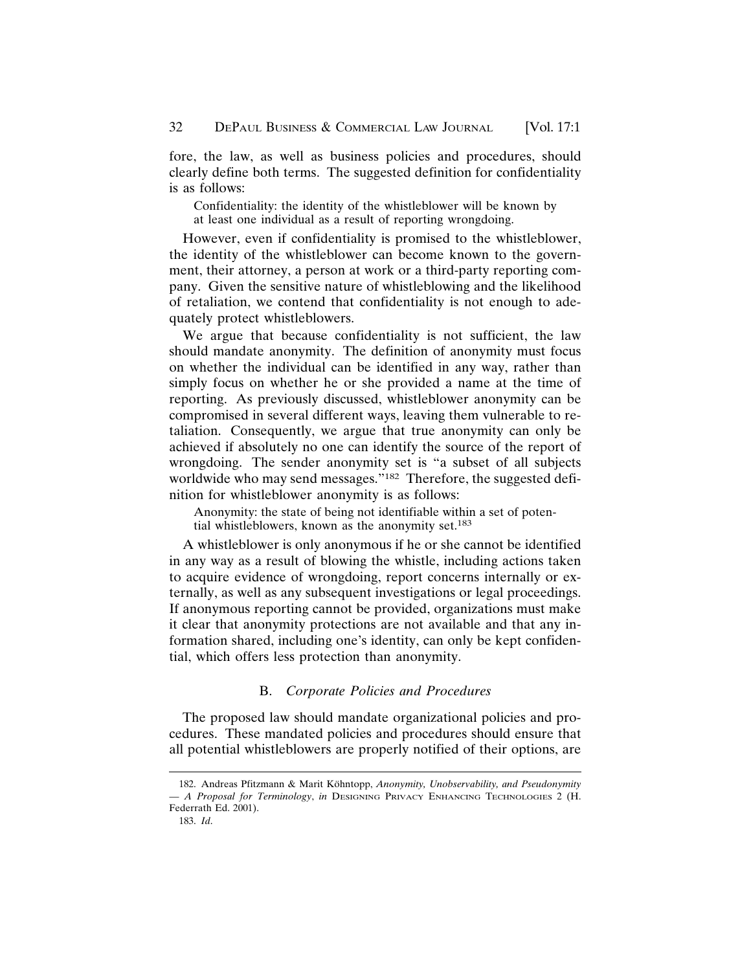fore, the law, as well as business policies and procedures, should clearly define both terms. The suggested definition for confidentiality is as follows:

Confidentiality: the identity of the whistleblower will be known by at least one individual as a result of reporting wrongdoing.

However, even if confidentiality is promised to the whistleblower, the identity of the whistleblower can become known to the government, their attorney, a person at work or a third-party reporting company. Given the sensitive nature of whistleblowing and the likelihood of retaliation, we contend that confidentiality is not enough to adequately protect whistleblowers.

We argue that because confidentiality is not sufficient, the law should mandate anonymity. The definition of anonymity must focus on whether the individual can be identified in any way, rather than simply focus on whether he or she provided a name at the time of reporting. As previously discussed, whistleblower anonymity can be compromised in several different ways, leaving them vulnerable to retaliation. Consequently, we argue that true anonymity can only be achieved if absolutely no one can identify the source of the report of wrongdoing. The sender anonymity set is "a subset of all subjects worldwide who may send messages."182 Therefore, the suggested definition for whistleblower anonymity is as follows:

Anonymity: the state of being not identifiable within a set of potential whistleblowers, known as the anonymity set.183

A whistleblower is only anonymous if he or she cannot be identified in any way as a result of blowing the whistle, including actions taken to acquire evidence of wrongdoing, report concerns internally or externally, as well as any subsequent investigations or legal proceedings. If anonymous reporting cannot be provided, organizations must make it clear that anonymity protections are not available and that any information shared, including one's identity, can only be kept confidential, which offers less protection than anonymity.

# B. *Corporate Policies and Procedures*

The proposed law should mandate organizational policies and procedures. These mandated policies and procedures should ensure that all potential whistleblowers are properly notified of their options, are

183. *Id*.

<sup>182.</sup> Andreas Pfitzmann & Marit Köhntopp, Anonymity, Unobservability, and Pseudonymity *— A Proposal for Terminology*, *in* DESIGNING PRIVACY ENHANCING TECHNOLOGIES 2 (H. Federrath Ed. 2001).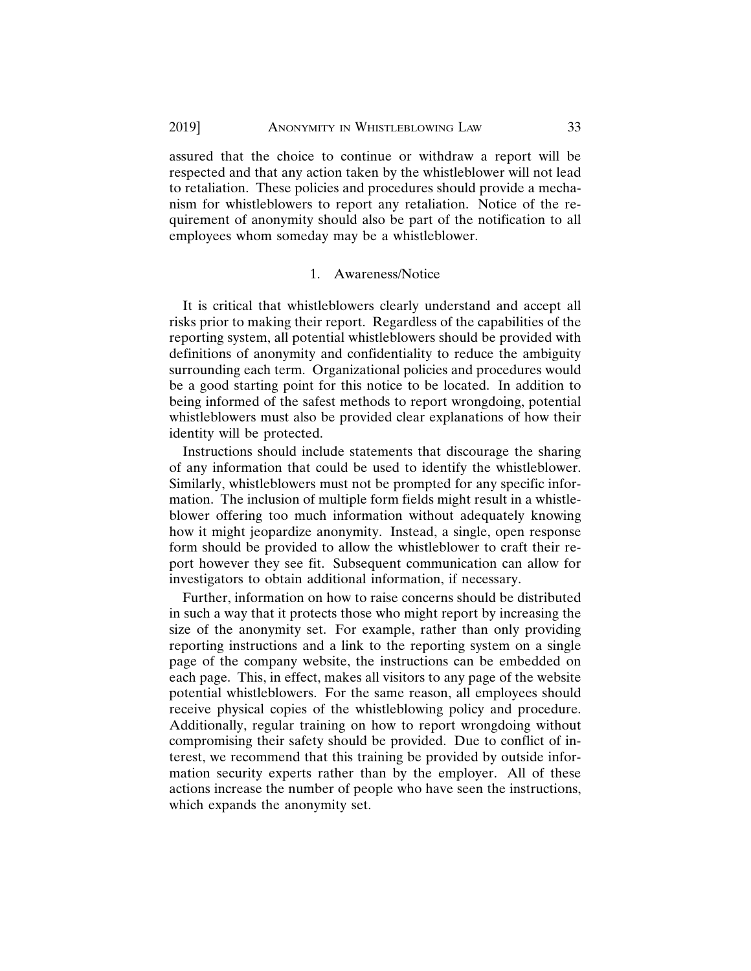assured that the choice to continue or withdraw a report will be respected and that any action taken by the whistleblower will not lead to retaliation. These policies and procedures should provide a mechanism for whistleblowers to report any retaliation. Notice of the requirement of anonymity should also be part of the notification to all employees whom someday may be a whistleblower.

#### 1. Awareness/Notice

It is critical that whistleblowers clearly understand and accept all risks prior to making their report. Regardless of the capabilities of the reporting system, all potential whistleblowers should be provided with definitions of anonymity and confidentiality to reduce the ambiguity surrounding each term. Organizational policies and procedures would be a good starting point for this notice to be located. In addition to being informed of the safest methods to report wrongdoing, potential whistleblowers must also be provided clear explanations of how their identity will be protected.

Instructions should include statements that discourage the sharing of any information that could be used to identify the whistleblower. Similarly, whistleblowers must not be prompted for any specific information. The inclusion of multiple form fields might result in a whistleblower offering too much information without adequately knowing how it might jeopardize anonymity. Instead, a single, open response form should be provided to allow the whistleblower to craft their report however they see fit. Subsequent communication can allow for investigators to obtain additional information, if necessary.

Further, information on how to raise concerns should be distributed in such a way that it protects those who might report by increasing the size of the anonymity set. For example, rather than only providing reporting instructions and a link to the reporting system on a single page of the company website, the instructions can be embedded on each page. This, in effect, makes all visitors to any page of the website potential whistleblowers. For the same reason, all employees should receive physical copies of the whistleblowing policy and procedure. Additionally, regular training on how to report wrongdoing without compromising their safety should be provided. Due to conflict of interest, we recommend that this training be provided by outside information security experts rather than by the employer. All of these actions increase the number of people who have seen the instructions, which expands the anonymity set.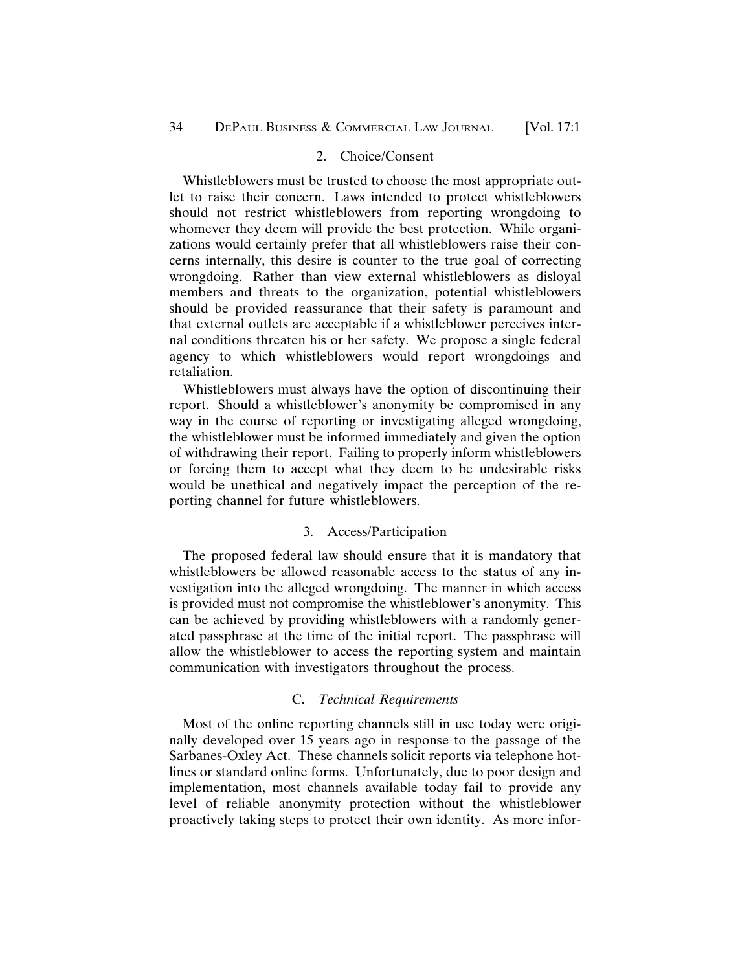#### 2. Choice/Consent

Whistleblowers must be trusted to choose the most appropriate outlet to raise their concern. Laws intended to protect whistleblowers should not restrict whistleblowers from reporting wrongdoing to whomever they deem will provide the best protection. While organizations would certainly prefer that all whistleblowers raise their concerns internally, this desire is counter to the true goal of correcting wrongdoing. Rather than view external whistleblowers as disloyal members and threats to the organization, potential whistleblowers should be provided reassurance that their safety is paramount and that external outlets are acceptable if a whistleblower perceives internal conditions threaten his or her safety. We propose a single federal agency to which whistleblowers would report wrongdoings and retaliation.

Whistleblowers must always have the option of discontinuing their report. Should a whistleblower's anonymity be compromised in any way in the course of reporting or investigating alleged wrongdoing, the whistleblower must be informed immediately and given the option of withdrawing their report. Failing to properly inform whistleblowers or forcing them to accept what they deem to be undesirable risks would be unethical and negatively impact the perception of the reporting channel for future whistleblowers.

#### 3. Access/Participation

The proposed federal law should ensure that it is mandatory that whistleblowers be allowed reasonable access to the status of any investigation into the alleged wrongdoing. The manner in which access is provided must not compromise the whistleblower's anonymity. This can be achieved by providing whistleblowers with a randomly generated passphrase at the time of the initial report. The passphrase will allow the whistleblower to access the reporting system and maintain communication with investigators throughout the process.

#### C. *Technical Requirements*

Most of the online reporting channels still in use today were originally developed over 15 years ago in response to the passage of the Sarbanes-Oxley Act. These channels solicit reports via telephone hotlines or standard online forms. Unfortunately, due to poor design and implementation, most channels available today fail to provide any level of reliable anonymity protection without the whistleblower proactively taking steps to protect their own identity. As more infor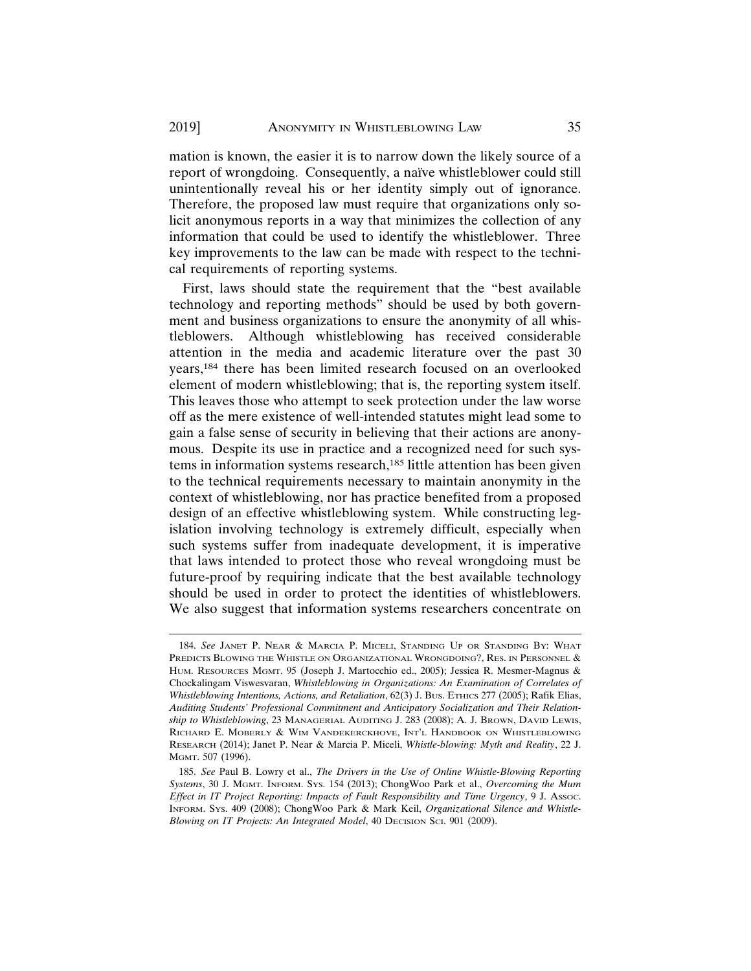mation is known, the easier it is to narrow down the likely source of a report of wrongdoing. Consequently, a naïve whistleblower could still unintentionally reveal his or her identity simply out of ignorance. Therefore, the proposed law must require that organizations only solicit anonymous reports in a way that minimizes the collection of any information that could be used to identify the whistleblower. Three key improvements to the law can be made with respect to the technical requirements of reporting systems.

First, laws should state the requirement that the "best available technology and reporting methods" should be used by both government and business organizations to ensure the anonymity of all whistleblowers. Although whistleblowing has received considerable attention in the media and academic literature over the past 30 years,184 there has been limited research focused on an overlooked element of modern whistleblowing; that is, the reporting system itself. This leaves those who attempt to seek protection under the law worse off as the mere existence of well-intended statutes might lead some to gain a false sense of security in believing that their actions are anonymous. Despite its use in practice and a recognized need for such systems in information systems research,<sup>185</sup> little attention has been given to the technical requirements necessary to maintain anonymity in the context of whistleblowing, nor has practice benefited from a proposed design of an effective whistleblowing system. While constructing legislation involving technology is extremely difficult, especially when such systems suffer from inadequate development, it is imperative that laws intended to protect those who reveal wrongdoing must be future-proof by requiring indicate that the best available technology should be used in order to protect the identities of whistleblowers. We also suggest that information systems researchers concentrate on

<sup>184.</sup> *See* JANET P. NEAR & MARCIA P. MICELI, STANDING UP OR STANDING BY: WHAT PREDICTS BLOWING THE WHISTLE ON ORGANIZATIONAL WRONGDOING?, RES. IN PERSONNEL & HUM. RESOURCES MGMT. 95 (Joseph J. Martocchio ed., 2005); Jessica R. Mesmer-Magnus & Chockalingam Viswesvaran, *Whistleblowing in Organizations: An Examination of Correlates of Whistleblowing Intentions, Actions, and Retaliation*, 62(3) J. BUS. ETHICS 277 (2005); Rafik Elias, *Auditing Students' Professional Commitment and Anticipatory Socialization and Their Relationship to Whistleblowing*, 23 MANAGERIAL AUDITING J. 283 (2008); A. J. BROWN, DAVID LEWIS, RICHARD E. MOBERLY & WIM VANDEKERCKHOVE, INT'L HANDBOOK ON WHISTLEBLOWING RESEARCH (2014); Janet P. Near & Marcia P. Miceli, *Whistle-blowing: Myth and Reality*, 22 J. MGMT. 507 (1996).

<sup>185.</sup> *See* Paul B. Lowry et al., *The Drivers in the Use of Online Whistle-Blowing Reporting Systems*, 30 J. MGMT. INFORM. SYS. 154 (2013); ChongWoo Park et al., *Overcoming the Mum Effect in IT Project Reporting: Impacts of Fault Responsibility and Time Urgency*, 9 J. ASSOC. INFORM. SYS. 409 (2008); ChongWoo Park & Mark Keil, *Organizational Silence and Whistle-Blowing on IT Projects: An Integrated Model*, 40 DECISION SCI. 901 (2009).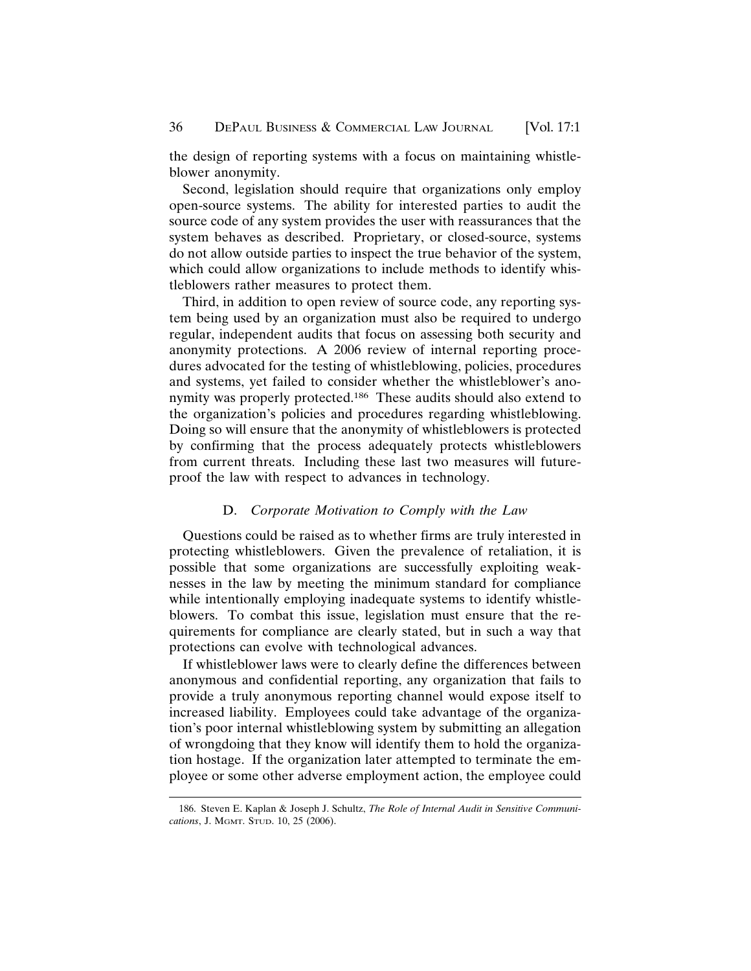the design of reporting systems with a focus on maintaining whistleblower anonymity.

Second, legislation should require that organizations only employ open-source systems. The ability for interested parties to audit the source code of any system provides the user with reassurances that the system behaves as described. Proprietary, or closed-source, systems do not allow outside parties to inspect the true behavior of the system, which could allow organizations to include methods to identify whistleblowers rather measures to protect them.

Third, in addition to open review of source code, any reporting system being used by an organization must also be required to undergo regular, independent audits that focus on assessing both security and anonymity protections. A 2006 review of internal reporting procedures advocated for the testing of whistleblowing, policies, procedures and systems, yet failed to consider whether the whistleblower's anonymity was properly protected.186 These audits should also extend to the organization's policies and procedures regarding whistleblowing. Doing so will ensure that the anonymity of whistleblowers is protected by confirming that the process adequately protects whistleblowers from current threats. Including these last two measures will futureproof the law with respect to advances in technology.

#### D. *Corporate Motivation to Comply with the Law*

Questions could be raised as to whether firms are truly interested in protecting whistleblowers. Given the prevalence of retaliation, it is possible that some organizations are successfully exploiting weaknesses in the law by meeting the minimum standard for compliance while intentionally employing inadequate systems to identify whistleblowers. To combat this issue, legislation must ensure that the requirements for compliance are clearly stated, but in such a way that protections can evolve with technological advances.

If whistleblower laws were to clearly define the differences between anonymous and confidential reporting, any organization that fails to provide a truly anonymous reporting channel would expose itself to increased liability. Employees could take advantage of the organization's poor internal whistleblowing system by submitting an allegation of wrongdoing that they know will identify them to hold the organization hostage. If the organization later attempted to terminate the employee or some other adverse employment action, the employee could

<sup>186.</sup> Steven E. Kaplan & Joseph J. Schultz, *The Role of Internal Audit in Sensitive Communications*, J. MGMT. STUD. 10, 25 (2006).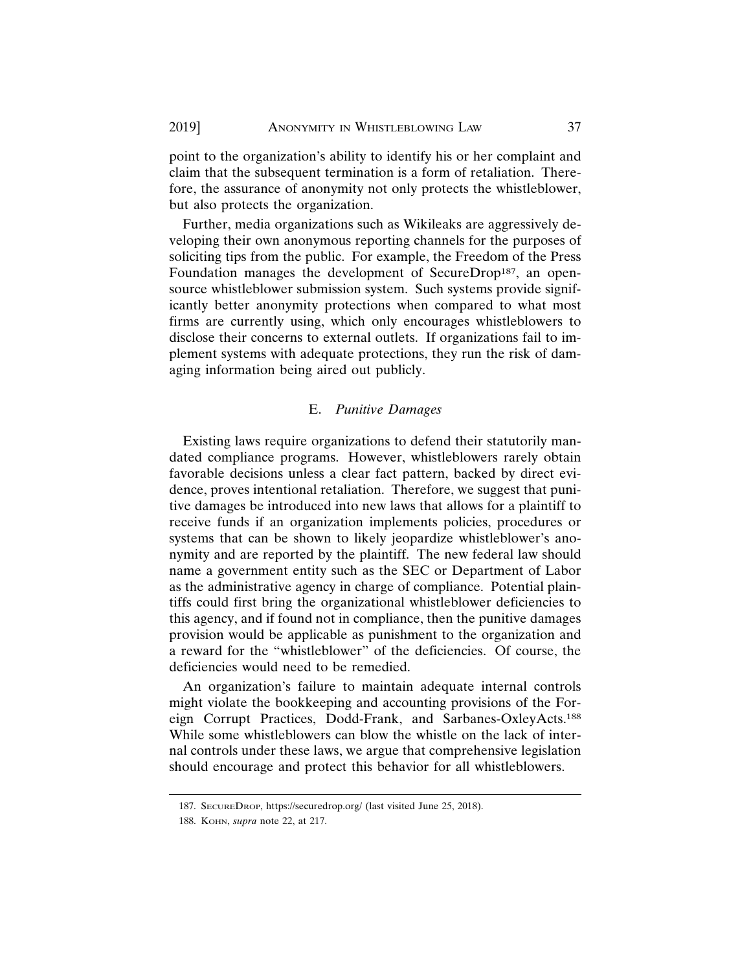point to the organization's ability to identify his or her complaint and claim that the subsequent termination is a form of retaliation. Therefore, the assurance of anonymity not only protects the whistleblower, but also protects the organization.

Further, media organizations such as Wikileaks are aggressively developing their own anonymous reporting channels for the purposes of soliciting tips from the public. For example, the Freedom of the Press Foundation manages the development of SecureDrop<sup>187</sup>, an opensource whistleblower submission system. Such systems provide significantly better anonymity protections when compared to what most firms are currently using, which only encourages whistleblowers to disclose their concerns to external outlets. If organizations fail to implement systems with adequate protections, they run the risk of damaging information being aired out publicly.

#### E. *Punitive Damages*

Existing laws require organizations to defend their statutorily mandated compliance programs. However, whistleblowers rarely obtain favorable decisions unless a clear fact pattern, backed by direct evidence, proves intentional retaliation. Therefore, we suggest that punitive damages be introduced into new laws that allows for a plaintiff to receive funds if an organization implements policies, procedures or systems that can be shown to likely jeopardize whistleblower's anonymity and are reported by the plaintiff. The new federal law should name a government entity such as the SEC or Department of Labor as the administrative agency in charge of compliance. Potential plaintiffs could first bring the organizational whistleblower deficiencies to this agency, and if found not in compliance, then the punitive damages provision would be applicable as punishment to the organization and a reward for the "whistleblower" of the deficiencies. Of course, the deficiencies would need to be remedied.

An organization's failure to maintain adequate internal controls might violate the bookkeeping and accounting provisions of the Foreign Corrupt Practices, Dodd-Frank, and Sarbanes-OxleyActs.188 While some whistleblowers can blow the whistle on the lack of internal controls under these laws, we argue that comprehensive legislation should encourage and protect this behavior for all whistleblowers.

<sup>187.</sup> SECUREDROP, https://securedrop.org/ (last visited June 25, 2018).

<sup>188.</sup> KOHN, *supra* note 22, at 217.